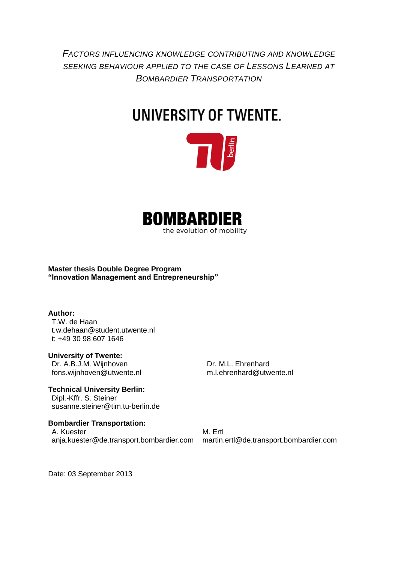*FACTORS INFLUENCING KNOWLEDGE CONTRIBUTING AND KNOWLEDGE SEEKING BEHAVIOUR APPLIED TO THE CASE OF LESSONS LEARNED AT BOMBARDIER TRANSPORTATION*

# UNIVERSITY OF TWENTE.





**Master thesis Double Degree Program "Innovation Management and Entrepreneurship"**

#### **Author:**

T.W. de Haan t.w.dehaan@student.utwente.nl t: +49 30 98 607 1646

#### **University of Twente:**

Dr. A.B.J.M. Wijnhoven fons.wijnhoven@utwente.nl Dr. M.L. Ehrenhard m.l.ehrenhard@utwente.nl

#### **Technical University Berlin:**

Dipl.-Kffr. S. Steiner susanne.steiner@tim.tu-berlin.de

## **Bombardier Transportation:**

A. Kuester anja.kuester@de.transport.bombardier.com

M. Ertl martin.ertl@de.transport.bombardier.com

Date: 03 September 2013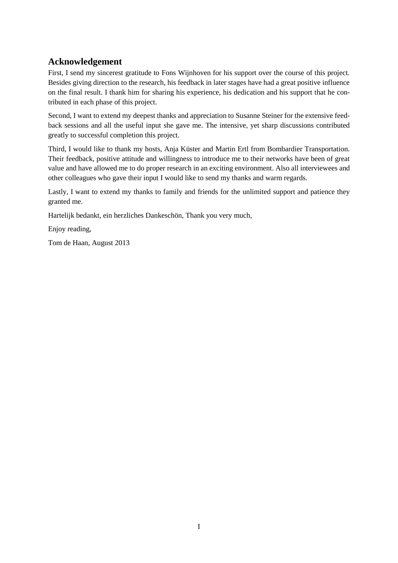## <span id="page-1-0"></span>**Acknowledgement**

First, I send my sincerest gratitude to Fons Wijnhoven for his support over the course of this project. Besides giving direction to the research, his feedback in later stages have had a great positive influence on the final result. I thank him for sharing his experience, his dedication and his support that he contributed in each phase of this project.

Second, I want to extend my deepest thanks and appreciation to Susanne Steiner for the extensive feedback sessions and all the useful input she gave me. The intensive, yet sharp discussions contributed greatly to successful completion this project.

Third, I would like to thank my hosts, Anja Küster and Martin Ertl from Bombardier Transportation. Their feedback, positive attitude and willingness to introduce me to their networks have been of great value and have allowed me to do proper research in an exciting environment. Also all interviewees and other colleagues who gave their input I would like to send my thanks and warm regards.

Lastly, I want to extend my thanks to family and friends for the unlimited support and patience they granted me.

Hartelijk bedankt, ein herzliches Dankeschön, Thank you very much,

Enjoy reading,

Tom de Haan, August 2013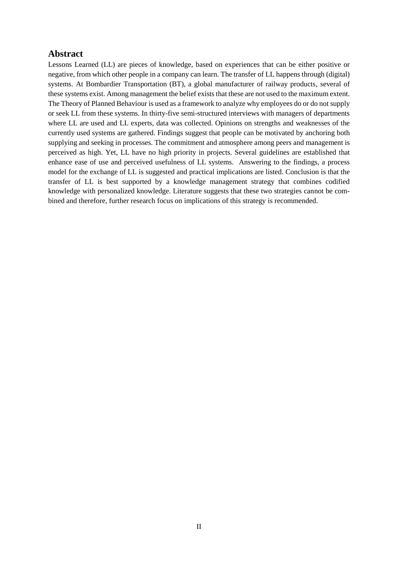#### <span id="page-2-0"></span>**Abstract**

Lessons Learned (LL) are pieces of knowledge, based on experiences that can be either positive or negative, from which other people in a company can learn. The transfer of LL happens through (digital) systems. At Bombardier Transportation (BT), a global manufacturer of railway products, several of these systems exist. Among management the belief exists that these are not used to the maximum extent. The Theory of Planned Behaviour is used as a framework to analyze why employees do or do not supply or seek LL from these systems. In thirty-five semi-structured interviews with managers of departments where LL are used and LL experts, data was collected. Opinions on strengths and weaknesses of the currently used systems are gathered. Findings suggest that people can be motivated by anchoring both supplying and seeking in processes. The commitment and atmosphere among peers and management is perceived as high. Yet, LL have no high priority in projects. Several guidelines are established that enhance ease of use and perceived usefulness of LL systems. Answering to the findings, a process model for the exchange of LL is suggested and practical implications are listed. Conclusion is that the transfer of LL is best supported by a knowledge management strategy that combines codified knowledge with personalized knowledge. Literature suggests that these two strategies cannot be combined and therefore, further research focus on implications of this strategy is recommended.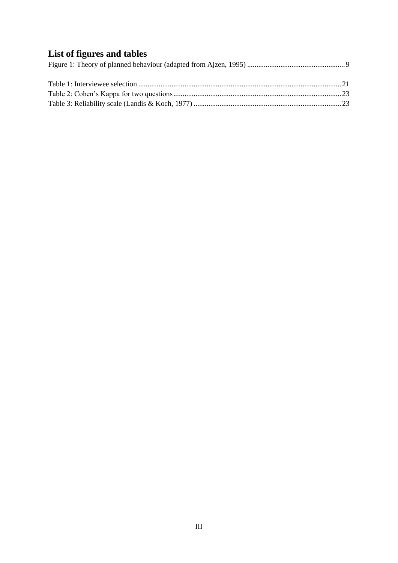# <span id="page-3-0"></span>**List of figures and tables**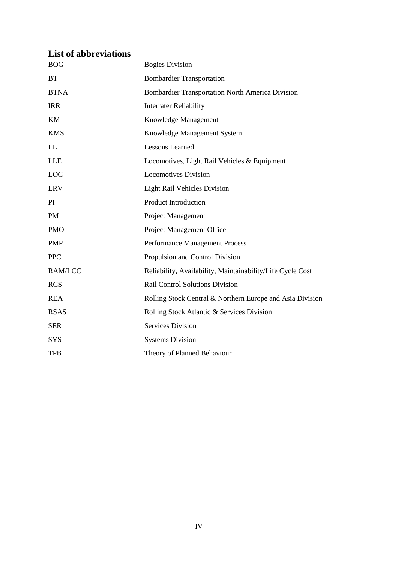# <span id="page-4-0"></span>**List of abbreviations**

| <b>BOG</b>     | <b>Bogies Division</b>                                     |
|----------------|------------------------------------------------------------|
| <b>BT</b>      | <b>Bombardier Transportation</b>                           |
| <b>BTNA</b>    | <b>Bombardier Transportation North America Division</b>    |
| <b>IRR</b>     | <b>Interrater Reliability</b>                              |
| KM             | Knowledge Management                                       |
| <b>KMS</b>     | Knowledge Management System                                |
| LL             | <b>Lessons Learned</b>                                     |
| <b>LLE</b>     | Locomotives, Light Rail Vehicles & Equipment               |
| LOC            | <b>Locomotives Division</b>                                |
| <b>LRV</b>     | Light Rail Vehicles Division                               |
| PI             | <b>Product Introduction</b>                                |
| <b>PM</b>      | Project Management                                         |
| <b>PMO</b>     | Project Management Office                                  |
| <b>PMP</b>     | Performance Management Process                             |
| <b>PPC</b>     | Propulsion and Control Division                            |
| <b>RAM/LCC</b> | Reliability, Availability, Maintainability/Life Cycle Cost |
| <b>RCS</b>     | Rail Control Solutions Division                            |
| <b>REA</b>     | Rolling Stock Central & Northern Europe and Asia Division  |
| <b>RSAS</b>    | Rolling Stock Atlantic & Services Division                 |
| <b>SER</b>     | <b>Services Division</b>                                   |
| <b>SYS</b>     | <b>Systems Division</b>                                    |
| <b>TPB</b>     | Theory of Planned Behaviour                                |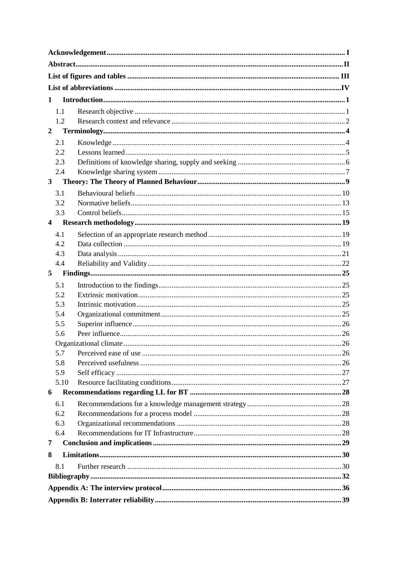| 1                       |  |  |  |  |  |  |  |  |
|-------------------------|--|--|--|--|--|--|--|--|
|                         |  |  |  |  |  |  |  |  |
| 1.1                     |  |  |  |  |  |  |  |  |
| 1.2<br>$\overline{2}$   |  |  |  |  |  |  |  |  |
|                         |  |  |  |  |  |  |  |  |
| 2.1                     |  |  |  |  |  |  |  |  |
| 2.2                     |  |  |  |  |  |  |  |  |
| 2.3                     |  |  |  |  |  |  |  |  |
| 2.4                     |  |  |  |  |  |  |  |  |
| $\overline{\mathbf{3}}$ |  |  |  |  |  |  |  |  |
| 3.1                     |  |  |  |  |  |  |  |  |
| 3.2                     |  |  |  |  |  |  |  |  |
| 3.3                     |  |  |  |  |  |  |  |  |
| 4                       |  |  |  |  |  |  |  |  |
| 4.1                     |  |  |  |  |  |  |  |  |
| 4.2                     |  |  |  |  |  |  |  |  |
| 4.3                     |  |  |  |  |  |  |  |  |
| 4.4                     |  |  |  |  |  |  |  |  |
| 5                       |  |  |  |  |  |  |  |  |
| 5.1                     |  |  |  |  |  |  |  |  |
| 5.2                     |  |  |  |  |  |  |  |  |
| 5.3                     |  |  |  |  |  |  |  |  |
| 5.4                     |  |  |  |  |  |  |  |  |
| 5.5                     |  |  |  |  |  |  |  |  |
| 5.6                     |  |  |  |  |  |  |  |  |
|                         |  |  |  |  |  |  |  |  |
| 5.7                     |  |  |  |  |  |  |  |  |
| 5.8                     |  |  |  |  |  |  |  |  |
| 5.9                     |  |  |  |  |  |  |  |  |
| 5.10                    |  |  |  |  |  |  |  |  |
| 6                       |  |  |  |  |  |  |  |  |
| 6.1                     |  |  |  |  |  |  |  |  |
| 6.2                     |  |  |  |  |  |  |  |  |
| 6.3                     |  |  |  |  |  |  |  |  |
| 6.4                     |  |  |  |  |  |  |  |  |
| 7                       |  |  |  |  |  |  |  |  |
| 8                       |  |  |  |  |  |  |  |  |
| 8.1                     |  |  |  |  |  |  |  |  |
|                         |  |  |  |  |  |  |  |  |
|                         |  |  |  |  |  |  |  |  |
|                         |  |  |  |  |  |  |  |  |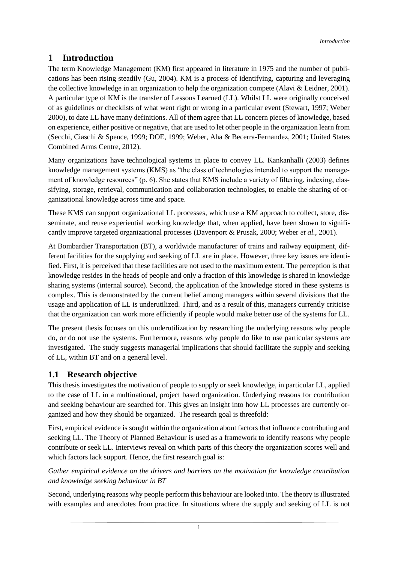# <span id="page-7-0"></span>**1 Introduction**

The term Knowledge Management (KM) first appeared in literature in 1975 and the number of publications has been rising steadily (Gu, 2004). KM is a process of identifying, capturing and leveraging the collective knowledge in an organization to help the organization compete (Alavi & Leidner, 2001). A particular type of KM is the transfer of Lessons Learned (LL). Whilst LL were originally conceived of as guidelines or checklists of what went right or wrong in a particular event (Stewart, 1997; Weber 2000), to date LL have many definitions. All of them agree that LL concern pieces of knowledge, based on experience, either positive or negative, that are used to let other people in the organization learn from (Secchi, Ciaschi & Spence, 1999; DOE, 1999; Weber, Aha & Becerra-Fernandez, 2001; United States Combined Arms Centre, 2012).

Many organizations have technological systems in place to convey LL. Kankanhalli (2003) defines knowledge management systems (KMS) as "the class of technologies intended to support the management of knowledge resources" (p. 6). She states that KMS include a variety of filtering, indexing, classifying, storage, retrieval, communication and collaboration technologies, to enable the sharing of organizational knowledge across time and space.

These KMS can support organizational LL processes, which use a KM approach to collect, store, disseminate, and reuse experiential working knowledge that, when applied, have been shown to significantly improve targeted organizational processes (Davenport & Prusak, 2000; Weber *et al.*, 2001).

At Bombardier Transportation (BT), a worldwide manufacturer of trains and railway equipment, different facilities for the supplying and seeking of LL are in place. However, three key issues are identified. First, it is perceived that these facilities are not used to the maximum extent. The perception is that knowledge resides in the heads of people and only a fraction of this knowledge is shared in knowledge sharing systems (internal source). Second, the application of the knowledge stored in these systems is complex. This is demonstrated by the current belief among managers within several divisions that the usage and application of LL is underutilized. Third, and as a result of this, managers currently criticise that the organization can work more efficiently if people would make better use of the systems for LL.

The present thesis focuses on this underutilization by researching the underlying reasons why people do, or do not use the systems. Furthermore, reasons why people do like to use particular systems are investigated. The study suggests managerial implications that should facilitate the supply and seeking of LL, within BT and on a general level.

#### <span id="page-7-1"></span>**1.1 Research objective**

This thesis investigates the motivation of people to supply or seek knowledge, in particular LL, applied to the case of LL in a multinational, project based organization. Underlying reasons for contribution and seeking behaviour are searched for. This gives an insight into how LL processes are currently organized and how they should be organized. The research goal is threefold:

First, empirical evidence is sought within the organization about factors that influence contributing and seeking LL. The Theory of Planned Behaviour is used as a framework to identify reasons why people contribute or seek LL. Interviews reveal on which parts of this theory the organization scores well and which factors lack support. Hence, the first research goal is:

#### *Gather empirical evidence on the drivers and barriers on the motivation for knowledge contribution and knowledge seeking behaviour in BT*

Second, underlying reasons why people perform this behaviour are looked into. The theory is illustrated with examples and anecdotes from practice. In situations where the supply and seeking of LL is not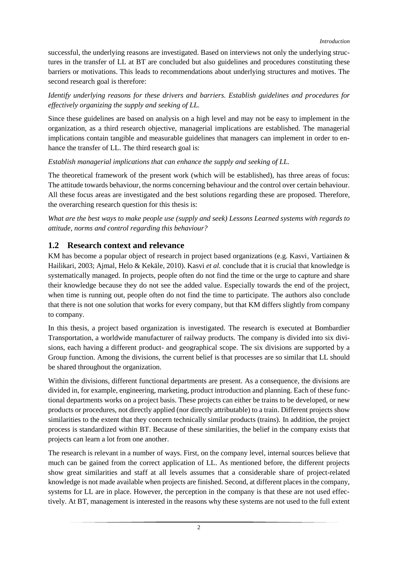successful, the underlying reasons are investigated. Based on interviews not only the underlying structures in the transfer of LL at BT are concluded but also guidelines and procedures constituting these barriers or motivations. This leads to recommendations about underlying structures and motives. The second research goal is therefore:

#### *Identify underlying reasons for these drivers and barriers. Establish guidelines and procedures for effectively organizing the supply and seeking of LL.*

Since these guidelines are based on analysis on a high level and may not be easy to implement in the organization, as a third research objective, managerial implications are established. The managerial implications contain tangible and measurable guidelines that managers can implement in order to enhance the transfer of LL. The third research goal is:

#### *Establish managerial implications that can enhance the supply and seeking of LL.*

The theoretical framework of the present work (which will be established), has three areas of focus: The attitude towards behaviour, the norms concerning behaviour and the control over certain behaviour. All these focus areas are investigated and the best solutions regarding these are proposed. Therefore, the overarching research question for this thesis is:

*What are the best ways to make people use (supply and seek) Lessons Learned systems with regards to attitude, norms and control regarding this behaviour?*

## <span id="page-8-0"></span>**1.2 Research context and relevance**

KM has become a popular object of research in project based organizations (e.g. Kasvi, Vartiainen & Hailikari, 2003; Ajmal, Helo & Kekäle, 2010). Kasvi *et al.* conclude that it is crucial that knowledge is systematically managed. In projects, people often do not find the time or the urge to capture and share their knowledge because they do not see the added value. Especially towards the end of the project, when time is running out, people often do not find the time to participate. The authors also conclude that there is not one solution that works for every company, but that KM differs slightly from company to company.

In this thesis, a project based organization is investigated. The research is executed at Bombardier Transportation, a worldwide manufacturer of railway products. The company is divided into six divisions, each having a different product- and geographical scope. The six divisions are supported by a Group function. Among the divisions, the current belief is that processes are so similar that LL should be shared throughout the organization.

Within the divisions, different functional departments are present. As a consequence, the divisions are divided in, for example, engineering, marketing, product introduction and planning. Each of these functional departments works on a project basis. These projects can either be trains to be developed, or new products or procedures, not directly applied (nor directly attributable) to a train. Different projects show similarities to the extent that they concern technically similar products (trains). In addition, the project process is standardized within BT. Because of these similarities, the belief in the company exists that projects can learn a lot from one another.

The research is relevant in a number of ways. First, on the company level, internal sources believe that much can be gained from the correct application of LL. As mentioned before, the different projects show great similarities and staff at all levels assumes that a considerable share of project-related knowledge is not made available when projects are finished. Second, at different places in the company, systems for LL are in place. However, the perception in the company is that these are not used effectively. At BT, management is interested in the reasons why these systems are not used to the full extent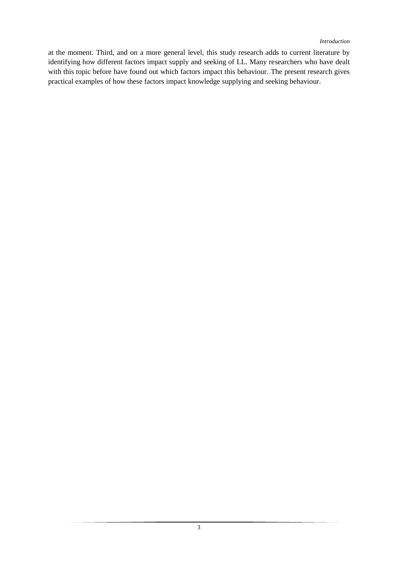at the moment. Third, and on a more general level, this study research adds to current literature by identifying how different factors impact supply and seeking of LL. Many researchers who have dealt with this topic before have found out which factors impact this behaviour. The present research gives practical examples of how these factors impact knowledge supplying and seeking behaviour.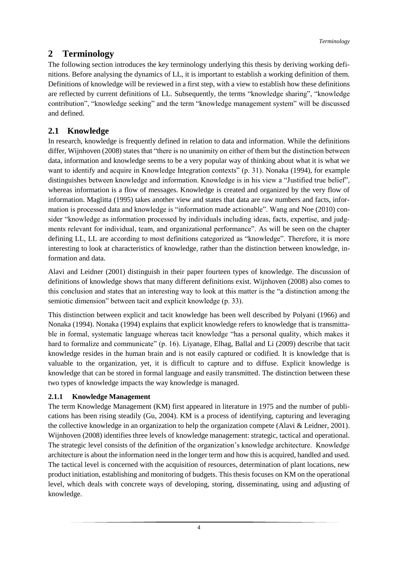# <span id="page-10-0"></span>**2 Terminology**

The following section introduces the key terminology underlying this thesis by deriving working definitions. Before analysing the dynamics of LL, it is important to establish a working definition of them. Definitions of knowledge will be reviewed in a first step, with a view to establish how these definitions are reflected by current definitions of LL. Subsequently, the terms "knowledge sharing", "knowledge contribution", "knowledge seeking" and the term "knowledge management system" will be discussed and defined.

# <span id="page-10-1"></span>**2.1 Knowledge**

In research, knowledge is frequently defined in relation to data and information. While the definitions differ, Wijnhoven (2008) states that "there is no unanimity on either of them but the distinction between data, information and knowledge seems to be a very popular way of thinking about what it is what we want to identify and acquire in Knowledge Integration contexts" (p. 31). Nonaka (1994), for example distinguishes between knowledge and information. Knowledge is in his view a "Justified true belief", whereas information is a flow of messages. Knowledge is created and organized by the very flow of information. Maglitta (1995) takes another view and states that data are raw numbers and facts, information is processed data and knowledge is "information made actionable". Wang and Noe (2010) consider "knowledge as information processed by individuals including ideas, facts, expertise, and judgments relevant for individual, team, and organizational performance". As will be seen on the chapter defining LL, LL are according to most definitions categorized as "knowledge". Therefore, it is more interesting to look at characteristics of knowledge, rather than the distinction between knowledge, information and data.

Alavi and Leidner (2001) distinguish in their paper fourteen types of knowledge. The discussion of definitions of knowledge shows that many different definitions exist. Wijnhoven (2008) also comes to this conclusion and states that an interesting way to look at this matter is the "a distinction among the semiotic dimension" between tacit and explicit knowledge (p. 33).

This distinction between explicit and tacit knowledge has been well described by Polyani (1966) and Nonaka (1994). Nonaka (1994) explains that explicit knowledge refers to knowledge that is transmittable in formal, systematic language whereas tacit knowledge "has a personal quality, which makes it hard to formalize and communicate" (p. 16). Liyanage, Elhag, Ballal and Li (2009) describe that tacit knowledge resides in the human brain and is not easily captured or codified. It is knowledge that is valuable to the organization, yet, it is difficult to capture and to diffuse. Explicit knowledge is knowledge that can be stored in formal language and easily transmitted. The distinction between these two types of knowledge impacts the way knowledge is managed.

#### **2.1.1 Knowledge Management**

The term Knowledge Management (KM) first appeared in literature in 1975 and the number of publications has been rising steadily (Gu, 2004). KM is a process of identifying, capturing and leveraging the collective knowledge in an organization to help the organization compete (Alavi & Leidner, 2001). Wijnhoven (2008) identifies three levels of knowledge management: strategic, tactical and operational. The strategic level consists of the definition of the organization's knowledge architecture. Knowledge architecture is about the information need in the longer term and how this is acquired, handled and used. The tactical level is concerned with the acquisition of resources, determination of plant locations, new product initiation, establishing and monitoring of budgets. This thesis focuses on KM on the operational level, which deals with concrete ways of developing, storing, disseminating, using and adjusting of knowledge.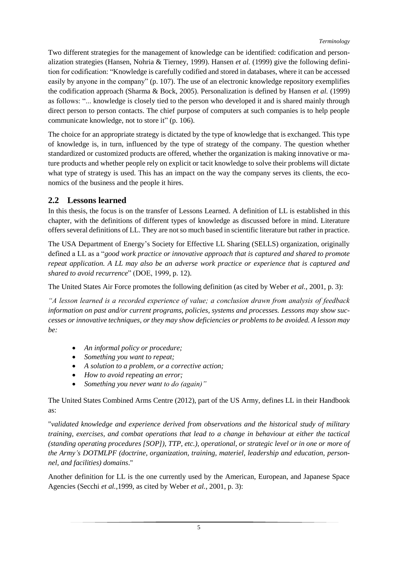Two different strategies for the management of knowledge can be identified: codification and personalization strategies (Hansen, Nohria & Tierney, 1999). Hansen *et al.* (1999) give the following definition for codification: "Knowledge is carefully codified and stored in databases, where it can be accessed easily by anyone in the company" (p. 107). The use of an electronic knowledge repository exemplifies the codification approach (Sharma & Bock, 2005). Personalization is defined by Hansen *et al.* (1999) as follows: "... knowledge is closely tied to the person who developed it and is shared mainly through direct person to person contacts. The chief purpose of computers at such companies is to help people communicate knowledge, not to store it" (p. 106).

The choice for an appropriate strategy is dictated by the type of knowledge that is exchanged. This type of knowledge is, in turn, influenced by the type of strategy of the company. The question whether standardized or customized products are offered, whether the organization is making innovative or mature products and whether people rely on explicit or tacit knowledge to solve their problems will dictate what type of strategy is used. This has an impact on the way the company serves its clients, the economics of the business and the people it hires.

## <span id="page-11-0"></span>**2.2 Lessons learned**

In this thesis, the focus is on the transfer of Lessons Learned. A definition of LL is established in this chapter, with the definitions of different types of knowledge as discussed before in mind. Literature offers several definitions of LL. They are not so much based in scientific literature but rather in practice.

The USA Department of Energy's Society for Effective LL Sharing (SELLS) organization, originally defined a LL as a "*good work practice or innovative approach that is captured and shared to promote repeat application. A LL may also be an adverse work practice or experience that is captured and shared to avoid recurrence*" (DOE, 1999, p. 12).

The United States Air Force promotes the following definition (as cited by Weber *et al.*, 2001, p. 3):

*"A lesson learned is a recorded experience of value; a conclusion drawn from analysis of feedback information on past and/or current programs, policies, systems and processes. Lessons may show successes or innovative techniques, or they may show deficiencies or problems to be avoided. A lesson may be:*

- *An informal policy or procedure;*
- *Something you want to repeat;*
- *A solution to a problem, or a corrective action;*
- *How to avoid repeating an error;*
- *Something you never want to do (again)"*

The United States Combined Arms Centre (2012), part of the US Army, defines LL in their Handbook as:

"*validated knowledge and experience derived from observations and the historical study of military training, exercises, and combat operations that lead to a change in behaviour at either the tactical (standing operating procedures [SOP]), TTP, etc.), operational, or strategic level or in one or more of the Army's DOTMLPF (doctrine, organization, training, materiel, leadership and education, personnel, and facilities) domains*."

Another definition for LL is the one currently used by the American, European, and Japanese Space Agencies (Secchi *et al.*,1999, as cited by Weber *et al.*, 2001, p. 3):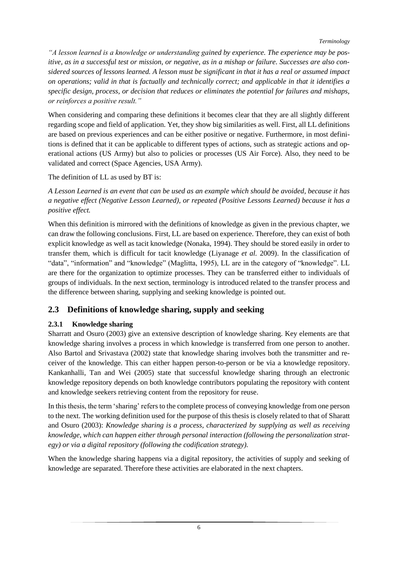*"A lesson learned is a knowledge or understanding gained by experience. The experience may be positive, as in a successful test or mission, or negative, as in a mishap or failure. Successes are also considered sources of lessons learned. A lesson must be significant in that it has a real or assumed impact on operations; valid in that is factually and technically correct; and applicable in that it identifies a specific design, process, or decision that reduces or eliminates the potential for failures and mishaps, or reinforces a positive result."* 

When considering and comparing these definitions it becomes clear that they are all slightly different regarding scope and field of application. Yet, they show big similarities as well. First, all LL definitions are based on previous experiences and can be either positive or negative. Furthermore, in most definitions is defined that it can be applicable to different types of actions, such as strategic actions and operational actions (US Army) but also to policies or processes (US Air Force). Also, they need to be validated and correct (Space Agencies, USA Army).

The definition of LL as used by BT is:

*A Lesson Learned is an event that can be used as an example which should be avoided, because it has a negative effect (Negative Lesson Learned), or repeated (Positive Lessons Learned) because it has a positive effect.*

When this definition is mirrored with the definitions of knowledge as given in the previous chapter, we can draw the following conclusions. First, LL are based on experience. Therefore, they can exist of both explicit knowledge as well as tacit knowledge (Nonaka, 1994). They should be stored easily in order to transfer them, which is difficult for tacit knowledge (Liyanage *et al.* 2009). In the classification of "data", "information" and "knowledge" (Maglitta, 1995), LL are in the category of "knowledge". LL are there for the organization to optimize processes. They can be transferred either to individuals of groups of individuals. In the next section, terminology is introduced related to the transfer process and the difference between sharing, supplying and seeking knowledge is pointed out.

## <span id="page-12-0"></span>**2.3 Definitions of knowledge sharing, supply and seeking**

#### **2.3.1 Knowledge sharing**

Sharratt and Osuro (2003) give an extensive description of knowledge sharing. Key elements are that knowledge sharing involves a process in which knowledge is transferred from one person to another. Also Bartol and Srivastava (2002) state that knowledge sharing involves both the transmitter and receiver of the knowledge. This can either happen person-to-person or be via a knowledge repository. Kankanhalli, Tan and Wei (2005) state that successful knowledge sharing through an electronic knowledge repository depends on both knowledge contributors populating the repository with content and knowledge seekers retrieving content from the repository for reuse.

In this thesis, the term 'sharing' refers to the complete process of conveying knowledge from one person to the next. The working definition used for the purpose of this thesis is closely related to that of Sharatt and Osuro (2003): *Knowledge sharing is a process, characterized by supplying as well as receiving knowledge, which can happen either through personal interaction (following the personalization strategy) or via a digital repository (following the codification strategy).*

When the knowledge sharing happens via a digital repository, the activities of supply and seeking of knowledge are separated. Therefore these activities are elaborated in the next chapters.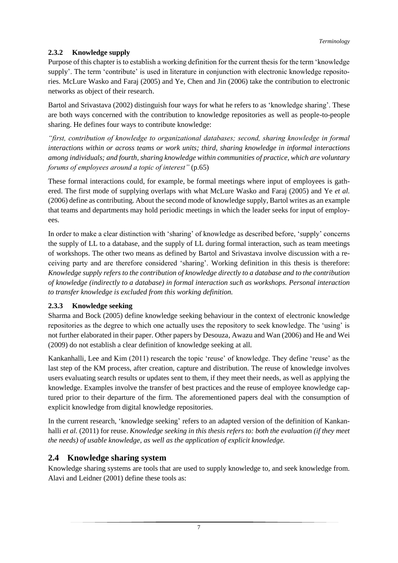#### **2.3.2 Knowledge supply**

Purpose of this chapter is to establish a working definition for the current thesis for the term 'knowledge supply'. The term 'contribute' is used in literature in conjunction with electronic knowledge repositories. McLure Wasko and Faraj (2005) and Ye, Chen and Jin (2006) take the contribution to electronic networks as object of their research.

Bartol and Srivastava (2002) distinguish four ways for what he refers to as 'knowledge sharing'. These are both ways concerned with the contribution to knowledge repositories as well as people-to-people sharing. He defines four ways to contribute knowledge:

*"first, contribution of knowledge to organizational databases; second, sharing knowledge in formal interactions within or across teams or work units; third, sharing knowledge in informal interactions among individuals; and fourth, sharing knowledge within communities of practice, which are voluntary forums of employees around a topic of interest"* (p.65)

These formal interactions could, for example, be formal meetings where input of employees is gathered. The first mode of supplying overlaps with what McLure Wasko and Faraj (2005) and Ye *et al.* (2006) define as contributing. About the second mode of knowledge supply, Bartol writes as an example that teams and departments may hold periodic meetings in which the leader seeks for input of employees.

In order to make a clear distinction with 'sharing' of knowledge as described before, 'supply' concerns the supply of LL to a database, and the supply of LL during formal interaction, such as team meetings of workshops. The other two means as defined by Bartol and Srivastava involve discussion with a receiving party and are therefore considered 'sharing'. Working definition in this thesis is therefore: *Knowledge supply refers to the contribution of knowledge directly to a database and to the contribution of knowledge (indirectly to a database) in formal interaction such as workshops. Personal interaction to transfer knowledge is excluded from this working definition.*

#### **2.3.3 Knowledge seeking**

Sharma and Bock (2005) define knowledge seeking behaviour in the context of electronic knowledge repositories as the degree to which one actually uses the repository to seek knowledge. The 'using' is not further elaborated in their paper. Other papers by Desouza, Awazu and Wan (2006) and He and Wei (2009) do not establish a clear definition of knowledge seeking at all.

Kankanhalli, Lee and Kim (2011) research the topic 'reuse' of knowledge. They define 'reuse' as the last step of the KM process, after creation, capture and distribution. The reuse of knowledge involves users evaluating search results or updates sent to them, if they meet their needs, as well as applying the knowledge. Examples involve the transfer of best practices and the reuse of employee knowledge captured prior to their departure of the firm. The aforementioned papers deal with the consumption of explicit knowledge from digital knowledge repositories.

In the current research, 'knowledge seeking' refers to an adapted version of the definition of Kankanhalli *et al.* (2011) for reuse. *Knowledge seeking in this thesis refers to: both the evaluation (if they meet the needs) of usable knowledge, as well as the application of explicit knowledge.*

## <span id="page-13-0"></span>**2.4 Knowledge sharing system**

Knowledge sharing systems are tools that are used to supply knowledge to, and seek knowledge from. Alavi and Leidner (2001) define these tools as: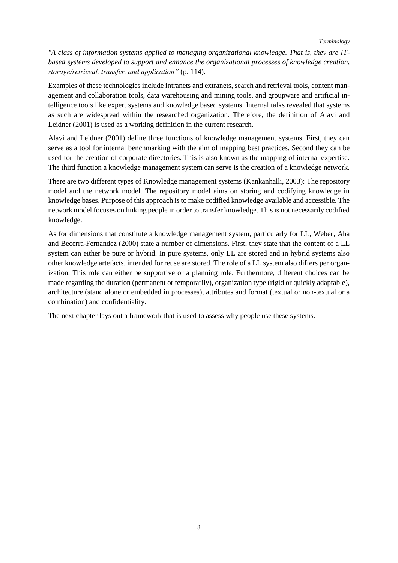*"A class of information systems applied to managing organizational knowledge. That is, they are ITbased systems developed to support and enhance the organizational processes of knowledge creation, storage/retrieval, transfer, and application"* (p. 114).

Examples of these technologies include intranets and extranets, search and retrieval tools, content management and collaboration tools, data warehousing and mining tools, and groupware and artificial intelligence tools like expert systems and knowledge based systems. Internal talks revealed that systems as such are widespread within the researched organization. Therefore, the definition of Alavi and Leidner (2001) is used as a working definition in the current research.

Alavi and Leidner (2001) define three functions of knowledge management systems. First, they can serve as a tool for internal benchmarking with the aim of mapping best practices. Second they can be used for the creation of corporate directories. This is also known as the mapping of internal expertise. The third function a knowledge management system can serve is the creation of a knowledge network.

There are two different types of Knowledge management systems (Kankanhalli, 2003): The repository model and the network model. The repository model aims on storing and codifying knowledge in knowledge bases. Purpose of this approach is to make codified knowledge available and accessible. The network model focuses on linking people in order to transfer knowledge. This is not necessarily codified knowledge.

As for dimensions that constitute a knowledge management system, particularly for LL, Weber, Aha and Becerra-Fernandez (2000) state a number of dimensions. First, they state that the content of a LL system can either be pure or hybrid. In pure systems, only LL are stored and in hybrid systems also other knowledge artefacts, intended for reuse are stored. The role of a LL system also differs per organization. This role can either be supportive or a planning role. Furthermore, different choices can be made regarding the duration (permanent or temporarily), organization type (rigid or quickly adaptable), architecture (stand alone or embedded in processes), attributes and format (textual or non-textual or a combination) and confidentiality.

The next chapter lays out a framework that is used to assess why people use these systems.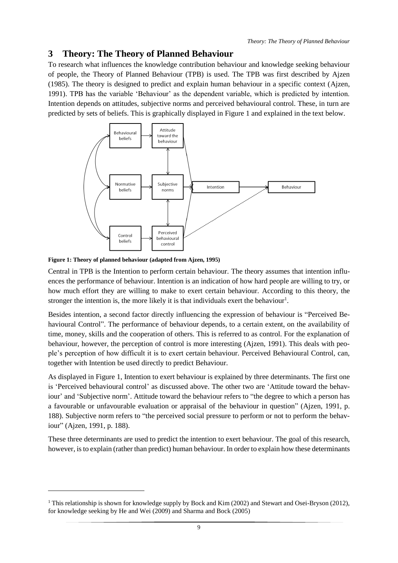## <span id="page-15-1"></span>**3 Theory: The Theory of Planned Behaviour**

To research what influences the knowledge contribution behaviour and knowledge seeking behaviour of people, the Theory of Planned Behaviour (TPB) is used. The TPB was first described by Ajzen (1985). The theory is designed to predict and explain human behaviour in a specific context (Ajzen, 1991). TPB has the variable 'Behaviour' as the dependent variable, which is predicted by intention. Intention depends on attitudes, subjective norms and perceived behavioural control. These, in turn are predicted by sets of beliefs. This is graphically displayed in [Figure 1](#page-15-0) and explained in the text below.



<span id="page-15-0"></span>**Figure 1: Theory of planned behaviour (adapted from Ajzen, 1995)**

-

Central in TPB is the Intention to perform certain behaviour. The theory assumes that intention influences the performance of behaviour. Intention is an indication of how hard people are willing to try, or how much effort they are willing to make to exert certain behaviour. According to this theory, the stronger the intention is, the more likely it is that individuals exert the behaviour<sup>1</sup>.

Besides intention, a second factor directly influencing the expression of behaviour is "Perceived Behavioural Control". The performance of behaviour depends, to a certain extent, on the availability of time, money, skills and the cooperation of others. This is referred to as control. For the explanation of behaviour, however, the perception of control is more interesting (Ajzen, 1991). This deals with people's perception of how difficult it is to exert certain behaviour. Perceived Behavioural Control, can, together with Intention be used directly to predict Behaviour.

As displayed in [Figure 1,](#page-15-0) Intention to exert behaviour is explained by three determinants. The first one is 'Perceived behavioural control' as discussed above. The other two are 'Attitude toward the behaviour' and 'Subjective norm'. Attitude toward the behaviour refers to "the degree to which a person has a favourable or unfavourable evaluation or appraisal of the behaviour in question" (Ajzen, 1991, p. 188). Subjective norm refers to "the perceived social pressure to perform or not to perform the behaviour" (Ajzen, 1991, p. 188).

These three determinants are used to predict the intention to exert behaviour. The goal of this research, however, is to explain (rather than predict) human behaviour. In order to explain how these determinants

<sup>&</sup>lt;sup>1</sup> This relationship is shown for knowledge supply by Bock and Kim (2002) and Stewart and Osei-Bryson (2012), for knowledge seeking by He and Wei (2009) and Sharma and Bock (2005)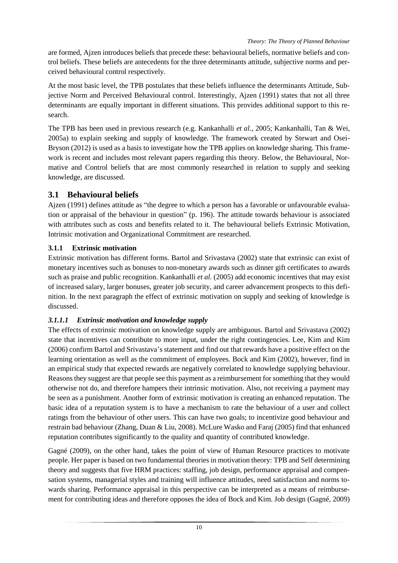are formed, Ajzen introduces beliefs that precede these: behavioural beliefs, normative beliefs and control beliefs. These beliefs are antecedents for the three determinants attitude, subjective norms and perceived behavioural control respectively.

At the most basic level, the TPB postulates that these beliefs influence the determinants Attitude, Subjective Norm and Perceived Behavioural control. Interestingly, Ajzen (1991) states that not all three determinants are equally important in different situations. This provides additional support to this research.

The TPB has been used in previous research (e.g. Kankanhalli *et al.*, 2005; Kankanhalli, Tan & Wei, 2005a) to explain seeking and supply of knowledge. The framework created by Stewart and Osei-Bryson (2012) is used as a basis to investigate how the TPB applies on knowledge sharing. This framework is recent and includes most relevant papers regarding this theory. Below, the Behavioural, Normative and Control beliefs that are most commonly researched in relation to supply and seeking knowledge, are discussed.

## <span id="page-16-0"></span>**3.1 Behavioural beliefs**

Ajzen (1991) defines attitude as "the degree to which a person has a favorable or unfavourable evaluation or appraisal of the behaviour in question" (p. 196). The attitude towards behaviour is associated with attributes such as costs and benefits related to it. The behavioural beliefs Extrinsic Motivation, Intrinsic motivation and Organizational Commitment are researched.

## **3.1.1 Extrinsic motivation**

Extrinsic motivation has different forms. Bartol and Srivastava (2002) state that extrinsic can exist of monetary incentives such as bonuses to non-monetary awards such as dinner gift certificates to awards such as praise and public recognition. Kankanhalli *et al.* (2005) add economic incentives that may exist of increased salary, larger bonuses, greater job security, and career advancement prospects to this definition. In the next paragraph the effect of extrinsic motivation on supply and seeking of knowledge is discussed.

## *3.1.1.1 Extrinsic motivation and knowledge supply*

The effects of extrinsic motivation on knowledge supply are ambiguous. Bartol and Srivastava (2002) state that incentives can contribute to more input, under the right contingencies. Lee, Kim and Kim (2006) confirm Bartol and Srivastava's statement and find out that rewards have a positive effect on the learning orientation as well as the commitment of employees. Bock and Kim (2002), however, find in an empirical study that expected rewards are negatively correlated to knowledge supplying behaviour. Reasons they suggest are that people see this payment as a reimbursement for something that they would otherwise not do, and therefore hampers their intrinsic motivation. Also, not receiving a payment may be seen as a punishment. Another form of extrinsic motivation is creating an enhanced reputation. The basic idea of a reputation system is to have a mechanism to rate the behaviour of a user and collect ratings from the behaviour of other users. This can have two goals; to incentivize good behaviour and restrain bad behaviour (Zhang, Duan & Liu, 2008). McLure Wasko and Faraj (2005) find that enhanced reputation contributes significantly to the quality and quantity of contributed knowledge.

Gagné (2009), on the other hand, takes the point of view of Human Resource practices to motivate people. Her paper is based on two fundamental theories in motivation theory: TPB and Self determining theory and suggests that five HRM practices: staffing, job design, performance appraisal and compensation systems, managerial styles and training will influence attitudes, need satisfaction and norms towards sharing. Performance appraisal in this perspective can be interpreted as a means of reimbursement for contributing ideas and therefore opposes the idea of Bock and Kim. Job design (Gagné, 2009)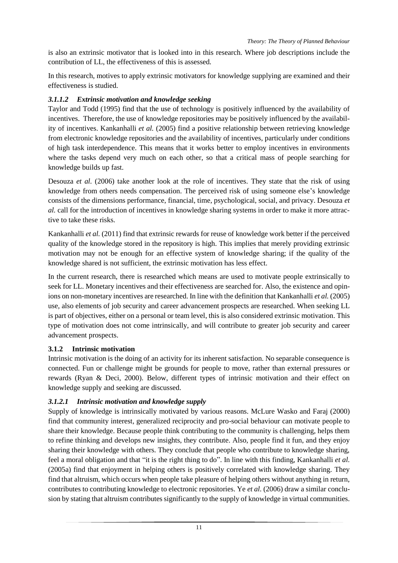is also an extrinsic motivator that is looked into in this research. Where job descriptions include the contribution of LL, the effectiveness of this is assessed.

In this research, motives to apply extrinsic motivators for knowledge supplying are examined and their effectiveness is studied.

#### *3.1.1.2 Extrinsic motivation and knowledge seeking*

Taylor and Todd (1995) find that the use of technology is positively influenced by the availability of incentives. Therefore, the use of knowledge repositories may be positively influenced by the availability of incentives. Kankanhalli *et al.* (2005) find a positive relationship between retrieving knowledge from electronic knowledge repositories and the availability of incentives, particularly under conditions of high task interdependence. This means that it works better to employ incentives in environments where the tasks depend very much on each other, so that a critical mass of people searching for knowledge builds up fast.

Desouza *et al.* (2006) take another look at the role of incentives. They state that the risk of using knowledge from others needs compensation. The perceived risk of using someone else's knowledge consists of the dimensions performance, financial, time, psychological, social, and privacy. Desouza *et al.* call for the introduction of incentives in knowledge sharing systems in order to make it more attractive to take these risks.

Kankanhalli *et al.* (2011) find that extrinsic rewards for reuse of knowledge work better if the perceived quality of the knowledge stored in the repository is high. This implies that merely providing extrinsic motivation may not be enough for an effective system of knowledge sharing; if the quality of the knowledge shared is not sufficient, the extrinsic motivation has less effect.

In the current research, there is researched which means are used to motivate people extrinsically to seek for LL. Monetary incentives and their effectiveness are searched for. Also, the existence and opinions on non-monetary incentives are researched. In line with the definition that Kankanhalli *et al.* (2005) use, also elements of job security and career advancement prospects are researched. When seeking LL is part of objectives, either on a personal or team level, this is also considered extrinsic motivation. This type of motivation does not come intrinsically, and will contribute to greater job security and career advancement prospects.

#### **3.1.2 Intrinsic motivation**

Intrinsic motivation is the doing of an activity for its inherent satisfaction. No separable consequence is connected. Fun or challenge might be grounds for people to move, rather than external pressures or rewards (Ryan & Deci, 2000). Below, different types of intrinsic motivation and their effect on knowledge supply and seeking are discussed.

#### *3.1.2.1 Intrinsic motivation and knowledge supply*

Supply of knowledge is intrinsically motivated by various reasons. McLure Wasko and Faraj (2000) find that community interest, generalized reciprocity and pro-social behaviour can motivate people to share their knowledge. Because people think contributing to the community is challenging, helps them to refine thinking and develops new insights, they contribute. Also, people find it fun, and they enjoy sharing their knowledge with others. They conclude that people who contribute to knowledge sharing, feel a moral obligation and that "it is the right thing to do". In line with this finding, Kankanhalli *et al.* (2005a) find that enjoyment in helping others is positively correlated with knowledge sharing. They find that altruism, which occurs when people take pleasure of helping others without anything in return, contributes to contributing knowledge to electronic repositories. Ye *et al.* (2006) draw a similar conclusion by stating that altruism contributes significantly to the supply of knowledge in virtual communities.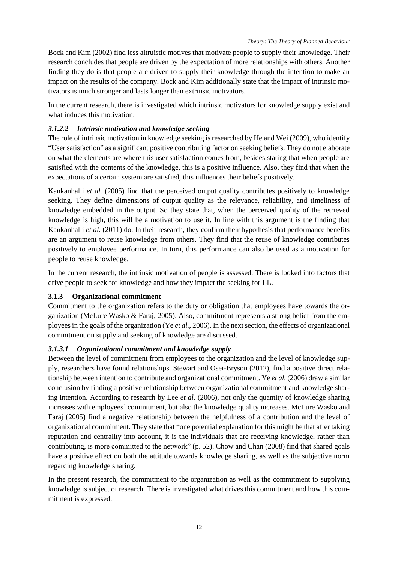Bock and Kim (2002) find less altruistic motives that motivate people to supply their knowledge. Their research concludes that people are driven by the expectation of more relationships with others. Another finding they do is that people are driven to supply their knowledge through the intention to make an impact on the results of the company. Bock and Kim additionally state that the impact of intrinsic motivators is much stronger and lasts longer than extrinsic motivators.

In the current research, there is investigated which intrinsic motivators for knowledge supply exist and what induces this motivation.

#### *3.1.2.2 Intrinsic motivation and knowledge seeking*

The role of intrinsic motivation in knowledge seeking is researched by He and Wei (2009), who identify "User satisfaction" as a significant positive contributing factor on seeking beliefs. They do not elaborate on what the elements are where this user satisfaction comes from, besides stating that when people are satisfied with the contents of the knowledge, this is a positive influence. Also, they find that when the expectations of a certain system are satisfied, this influences their beliefs positively.

Kankanhalli *et al.* (2005) find that the perceived output quality contributes positively to knowledge seeking. They define dimensions of output quality as the relevance, reliability, and timeliness of knowledge embedded in the output. So they state that, when the perceived quality of the retrieved knowledge is high, this will be a motivation to use it. In line with this argument is the finding that Kankanhalli *et al.* (2011) do. In their research, they confirm their hypothesis that performance benefits are an argument to reuse knowledge from others. They find that the reuse of knowledge contributes positively to employee performance. In turn, this performance can also be used as a motivation for people to reuse knowledge.

In the current research, the intrinsic motivation of people is assessed. There is looked into factors that drive people to seek for knowledge and how they impact the seeking for LL.

#### **3.1.3 Organizational commitment**

Commitment to the organization refers to the duty or obligation that employees have towards the organization (McLure Wasko & Faraj, 2005). Also, commitment represents a strong belief from the employees in the goals of the organization (Ye *et al.*, 2006). In the next section, the effects of organizational commitment on supply and seeking of knowledge are discussed.

#### *3.1.3.1 Organizational commitment and knowledge supply*

Between the level of commitment from employees to the organization and the level of knowledge supply, researchers have found relationships. Stewart and Osei-Bryson (2012), find a positive direct relationship between intention to contribute and organizational commitment. Ye *et al.* (2006) draw a similar conclusion by finding a positive relationship between organizational commitment and knowledge sharing intention. According to research by Lee *et al.* (2006), not only the quantity of knowledge sharing increases with employees' commitment, but also the knowledge quality increases. McLure Wasko and Faraj (2005) find a negative relationship between the helpfulness of a contribution and the level of organizational commitment. They state that "one potential explanation for this might be that after taking reputation and centrality into account, it is the individuals that are receiving knowledge, rather than contributing, is more committed to the network" (p. 52). Chow and Chan (2008) find that shared goals have a positive effect on both the attitude towards knowledge sharing, as well as the subjective norm regarding knowledge sharing.

In the present research, the commitment to the organization as well as the commitment to supplying knowledge is subject of research. There is investigated what drives this commitment and how this commitment is expressed.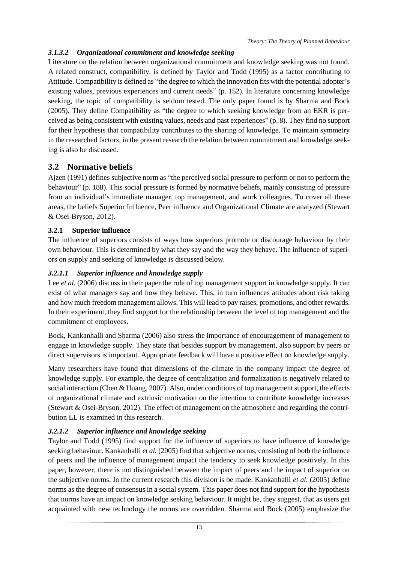#### *3.1.3.2 Organizational commitment and knowledge seeking*

Literature on the relation between organizational commitment and knowledge seeking was not found. A related construct, compatibility, is defined by Taylor and Todd (1995) as a factor contributing to Attitude. Compatibility is defined as "the degree to which the innovation fits with the potential adopter's existing values, previous experiences and current needs" (p. 152). In literature concerning knowledge seeking, the topic of compatibility is seldom tested. The only paper found is by Sharma and Bock (2005). They define Compatibility as "the degree to which seeking knowledge from an EKR is perceived as being consistent with existing values, needs and past experiences" (p. 8). They find no support for their hypothesis that compatibility contributes to the sharing of knowledge. To maintain symmetry in the researched factors, in the present research the relation between commitment and knowledge seeking is also be discussed.

## <span id="page-19-0"></span>**3.2 Normative beliefs**

Ajzen (1991) defines subjective norm as "the perceived social pressure to perform or not to perform the behaviour" (p. 188). This social pressure is formed by normative beliefs, mainly consisting of pressure from an individual's immediate manager, top management, and work colleagues. To cover all these areas, the beliefs Superior Influence, Peer influence and Organizational Climate are analyzed (Stewart & Osei-Bryson, 2012).

#### **3.2.1 Superior influence**

The influence of superiors consists of ways how superiors promote or discourage behaviour by their own behaviour. This is determined by what they say and the way they behave. The influence of superiors on supply and seeking of knowledge is discussed below.

#### *3.2.1.1 Superior influence and knowledge supply*

Lee *et al.* (2006) discuss in their paper the role of top management support in knowledge supply. It can exist of what managers say and how they behave. This, in turn influences attitudes about risk taking and how much freedom management allows. This will lead to pay raises, promotions, and other rewards. In their experiment, they find support for the relationship between the level of top management and the commitment of employees.

Bock, Kankanhalli and Sharma (2006) also stress the importance of encouragement of management to engage in knowledge supply. They state that besides support by management, also support by peers or direct supervisors is important. Appropriate feedback will have a positive effect on knowledge supply.

Many researchers have found that dimensions of the climate in the company impact the degree of knowledge supply. For example, the degree of centralization and formalization is negatively related to social interaction (Chen & Huang, 2007). Also, under conditions of top management support, the effects of organizational climate and extrinsic motivation on the intention to contribute knowledge increases (Stewart & Osei-Bryson, 2012). The effect of management on the atmosphere and regarding the contribution LL is examined in this research.

#### *3.2.1.2 Superior influence and knowledge seeking*

Taylor and Todd (1995) find support for the influence of superiors to have influence of knowledge seeking behaviour. Kankanhalli *et al.* (2005) find that subjective norms, consisting of both the influence of peers and the influence of management impact the tendency to seek knowledge positively. In this paper, however, there is not distinguished between the impact of peers and the impact of superior on the subjective norms. In the current research this division is be made. Kankanhalli *et al.* (2005) define norms as the degree of consensus in a social system. This paper does not find support for the hypothesis that norms have an impact on knowledge seeking behaviour. It might be, they suggest, that as users get acquainted with new technology the norms are overridden. Sharma and Bock (2005) emphasize the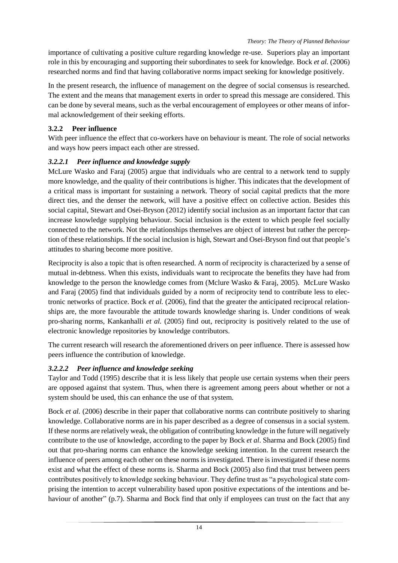importance of cultivating a positive culture regarding knowledge re-use. Superiors play an important role in this by encouraging and supporting their subordinates to seek for knowledge. Bock *et al.* (2006) researched norms and find that having collaborative norms impact seeking for knowledge positively.

In the present research, the influence of management on the degree of social consensus is researched. The extent and the means that management exerts in order to spread this message are considered. This can be done by several means, such as the verbal encouragement of employees or other means of informal acknowledgement of their seeking efforts.

## **3.2.2 Peer influence**

With peer influence the effect that co-workers have on behaviour is meant. The role of social networks and ways how peers impact each other are stressed.

## *3.2.2.1 Peer influence and knowledge supply*

McLure Wasko and Faraj (2005) argue that individuals who are central to a network tend to supply more knowledge, and the quality of their contributions is higher. This indicates that the development of a critical mass is important for sustaining a network. Theory of social capital predicts that the more direct ties, and the denser the network, will have a positive effect on collective action. Besides this social capital, Stewart and Osei-Bryson (2012) identify social inclusion as an important factor that can increase knowledge supplying behaviour. Social inclusion is the extent to which people feel socially connected to the network. Not the relationships themselves are object of interest but rather the perception of these relationships. If the social inclusion is high, Stewart and Osei-Bryson find out that people's attitudes to sharing become more positive.

Reciprocity is also a topic that is often researched. A norm of reciprocity is characterized by a sense of mutual in-debtness. When this exists, individuals want to reciprocate the benefits they have had from knowledge to the person the knowledge comes from (Mclure Wasko & Faraj, 2005). McLure Wasko and Faraj (2005) find that individuals guided by a norm of reciprocity tend to contribute less to electronic networks of practice. Bock *et al.* (2006), find that the greater the anticipated reciprocal relationships are, the more favourable the attitude towards knowledge sharing is. Under conditions of weak pro-sharing norms, Kankanhalli *et al.* (2005) find out, reciprocity is positively related to the use of electronic knowledge repositories by knowledge contributors.

The current research will research the aforementioned drivers on peer influence. There is assessed how peers influence the contribution of knowledge.

# *3.2.2.2 Peer influence and knowledge seeking*

Taylor and Todd (1995) describe that it is less likely that people use certain systems when their peers are opposed against that system. Thus, when there is agreement among peers about whether or not a system should be used, this can enhance the use of that system.

Bock *et al.* (2006) describe in their paper that collaborative norms can contribute positively to sharing knowledge. Collaborative norms are in his paper described as a degree of consensus in a social system. If these norms are relatively weak, the obligation of contributing knowledge in the future will negatively contribute to the use of knowledge, according to the paper by Bock *et al*. Sharma and Bock (2005) find out that pro-sharing norms can enhance the knowledge seeking intention. In the current research the influence of peers among each other on these norms is investigated. There is investigated if these norms exist and what the effect of these norms is. Sharma and Bock (2005) also find that trust between peers contributes positively to knowledge seeking behaviour. They define trust as "a psychological state comprising the intention to accept vulnerability based upon positive expectations of the intentions and behaviour of another" (p.7). Sharma and Bock find that only if employees can trust on the fact that any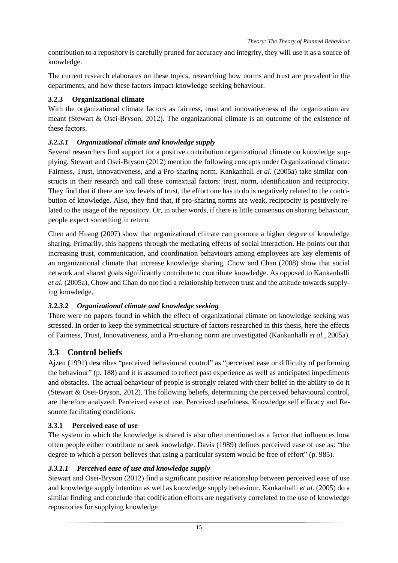contribution to a repository is carefully pruned for accuracy and integrity, they will use it as a source of knowledge.

The current research elaborates on these topics, researching how norms and trust are prevalent in the departments, and how these factors impact knowledge seeking behaviour.

#### **3.2.3 Organizational climate**

With the organizational climate factors as fairness, trust and innovativeness of the organization are meant (Stewart & Osei-Bryson, 2012). The organizational climate is an outcome of the existence of these factors.

#### *3.2.3.1 Organizational climate and knowledge supply*

Several researchers find support for a positive contribution organizational climate on knowledge supplying. Stewart and Osei-Bryson (2012) mention the following concepts under Organizational climate: Fairness, Trust, Innovativeness, and a Pro-sharing norm. Kankanhall *et al.* (2005a) take similar constructs in their research and call these contextual factors: trust, norm, identification and reciprocity. They find that if there are low levels of trust, the effort one has to do is negatively related to the contribution of knowledge. Also, they find that, if pro-sharing norms are weak, reciprocity is positively related to the usage of the repository. Or, in other words, if there is little consensus on sharing behaviour, people expect something in return.

Chen and Huang (2007) show that organizational climate can promote a higher degree of knowledge sharing. Primarily, this happens through the mediating effects of social interaction. He points out that increasing trust, communication, and coordination behaviours among employees are key elements of an organizational climate that increase knowledge sharing. Chow and Chan (2008) show that social network and shared goals significantly contribute to contribute knowledge. As opposed to Kankanhalli *et al.* (2005a), Chow and Chan do not find a relationship between trust and the attitude towards supplying knowledge.

#### *3.2.3.2 Organizational climate and knowledge seeking*

There were no papers found in which the effect of organizational climate on knowledge seeking was stressed. In order to keep the symmetrical structure of factors researched in this thesis, here the effects of Fairness, Trust, Innovativeness, and a Pro-sharing norm are investigated (Kankanhalli *et al.*, 2005a).

#### <span id="page-21-0"></span>**3.3 Control beliefs**

Ajzen (1991) describes "perceived behavioural control" as "perceived ease or difficulty of performing the behaviour" (p. 188) and it is assumed to reflect past experience as well as anticipated impediments and obstacles. The actual behaviour of people is strongly related with their belief in the ability to do it (Stewart & Osei-Bryson, 2012). The following beliefs, determining the perceived behavioural control, are therefore analyzed: Perceived ease of use, Perceived usefulness, Knowledge self efficacy and Resource facilitating conditions.

#### **3.3.1 Perceived ease of use**

The system in which the knowledge is shared is also often mentioned as a factor that influences how often people either contribute or seek knowledge. Davis (1989) defines perceived ease of use as: "the degree to which a person believes that using a particular system would be free of effort" (p. 985).

#### *3.3.1.1 Perceived ease of use and knowledge supply*

Stewart and Osei-Bryson (2012) find a significant positive relationship between perceived ease of use and knowledge supply intention as well as knowledge supply behaviour. Kankanhalli *et al.* (2005) do a similar finding and conclude that codification efforts are negatively correlated to the use of knowledge repositories for supplying knowledge.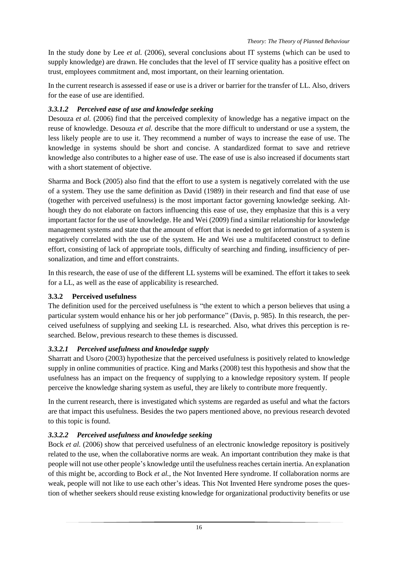In the study done by Lee *et al.* (2006), several conclusions about IT systems (which can be used to supply knowledge) are drawn. He concludes that the level of IT service quality has a positive effect on trust, employees commitment and, most important, on their learning orientation.

In the current research is assessed if ease or use is a driver or barrier for the transfer of LL. Also, drivers for the ease of use are identified.

#### *3.3.1.2 Perceived ease of use and knowledge seeking*

Desouza *et al.* (2006) find that the perceived complexity of knowledge has a negative impact on the reuse of knowledge. Desouza *et al.* describe that the more difficult to understand or use a system, the less likely people are to use it. They recommend a number of ways to increase the ease of use. The knowledge in systems should be short and concise. A standardized format to save and retrieve knowledge also contributes to a higher ease of use. The ease of use is also increased if documents start with a short statement of objective.

Sharma and Bock (2005) also find that the effort to use a system is negatively correlated with the use of a system. They use the same definition as David (1989) in their research and find that ease of use (together with perceived usefulness) is the most important factor governing knowledge seeking. Although they do not elaborate on factors influencing this ease of use, they emphasize that this is a very important factor for the use of knowledge. He and Wei (2009) find a similar relationship for knowledge management systems and state that the amount of effort that is needed to get information of a system is negatively correlated with the use of the system. He and Wei use a multifaceted construct to define effort, consisting of lack of appropriate tools, difficulty of searching and finding, insufficiency of personalization, and time and effort constraints.

In this research, the ease of use of the different LL systems will be examined. The effort it takes to seek for a LL, as well as the ease of applicability is researched.

#### **3.3.2 Perceived usefulness**

The definition used for the perceived usefulness is "the extent to which a person believes that using a particular system would enhance his or her job performance" (Davis, p. 985). In this research, the perceived usefulness of supplying and seeking LL is researched. Also, what drives this perception is researched. Below, previous research to these themes is discussed.

#### *3.3.2.1 Perceived usefulness and knowledge supply*

Sharratt and Usoro (2003) hypothesize that the perceived usefulness is positively related to knowledge supply in online communities of practice. King and Marks (2008) test this hypothesis and show that the usefulness has an impact on the frequency of supplying to a knowledge repository system. If people perceive the knowledge sharing system as useful, they are likely to contribute more frequently.

In the current research, there is investigated which systems are regarded as useful and what the factors are that impact this usefulness. Besides the two papers mentioned above, no previous research devoted to this topic is found.

#### *3.3.2.2 Perceived usefulness and knowledge seeking*

Bock *et al.* (2006) show that perceived usefulness of an electronic knowledge repository is positively related to the use, when the collaborative norms are weak. An important contribution they make is that people will not use other people's knowledge until the usefulness reaches certain inertia. An explanation of this might be, according to Bock *et al.*, the Not Invented Here syndrome. If collaboration norms are weak, people will not like to use each other's ideas. This Not Invented Here syndrome poses the question of whether seekers should reuse existing knowledge for organizational productivity benefits or use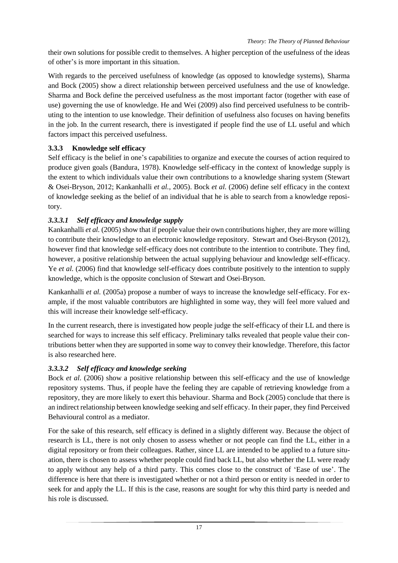their own solutions for possible credit to themselves. A higher perception of the usefulness of the ideas of other's is more important in this situation.

With regards to the perceived usefulness of knowledge (as opposed to knowledge systems), Sharma and Bock (2005) show a direct relationship between perceived usefulness and the use of knowledge. Sharma and Bock define the perceived usefulness as the most important factor (together with ease of use) governing the use of knowledge. He and Wei (2009) also find perceived usefulness to be contributing to the intention to use knowledge. Their definition of usefulness also focuses on having benefits in the job. In the current research, there is investigated if people find the use of LL useful and which factors impact this perceived usefulness.

## **3.3.3 Knowledge self efficacy**

Self efficacy is the belief in one's capabilities to organize and execute the courses of action required to produce given goals (Bandura, 1978). Knowledge self-efficacy in the context of knowledge supply is the extent to which individuals value their own contributions to a knowledge sharing system (Stewart & Osei-Bryson, 2012; Kankanhalli *et al.*, 2005). Bock *et al.* (2006) define self efficacy in the context of knowledge seeking as the belief of an individual that he is able to search from a knowledge repository.

## *3.3.3.1 Self efficacy and knowledge supply*

Kankanhalli *et al.* (2005) show that if people value their own contributions higher, they are more willing to contribute their knowledge to an electronic knowledge repository. Stewart and Osei-Bryson (2012), however find that knowledge self-efficacy does not contribute to the intention to contribute. They find, however, a positive relationship between the actual supplying behaviour and knowledge self-efficacy. Ye *et al.* (2006) find that knowledge self-efficacy does contribute positively to the intention to supply knowledge, which is the opposite conclusion of Stewart and Osei-Bryson.

Kankanhalli *et al.* (2005a) propose a number of ways to increase the knowledge self-efficacy. For example, if the most valuable contributors are highlighted in some way, they will feel more valued and this will increase their knowledge self-efficacy.

In the current research, there is investigated how people judge the self-efficacy of their LL and there is searched for ways to increase this self efficacy. Preliminary talks revealed that people value their contributions better when they are supported in some way to convey their knowledge. Therefore, this factor is also researched here.

#### *3.3.3.2 Self efficacy and knowledge seeking*

Bock *et al.* (2006) show a positive relationship between this self-efficacy and the use of knowledge repository systems. Thus, if people have the feeling they are capable of retrieving knowledge from a repository, they are more likely to exert this behaviour. Sharma and Bock (2005) conclude that there is an indirect relationship between knowledge seeking and self efficacy. In their paper, they find Perceived Behavioural control as a mediator.

For the sake of this research, self efficacy is defined in a slightly different way. Because the object of research is LL, there is not only chosen to assess whether or not people can find the LL, either in a digital repository or from their colleagues. Rather, since LL are intended to be applied to a future situation, there is chosen to assess whether people could find back LL, but also whether the LL were ready to apply without any help of a third party. This comes close to the construct of 'Ease of use'. The difference is here that there is investigated whether or not a third person or entity is needed in order to seek for and apply the LL. If this is the case, reasons are sought for why this third party is needed and his role is discussed.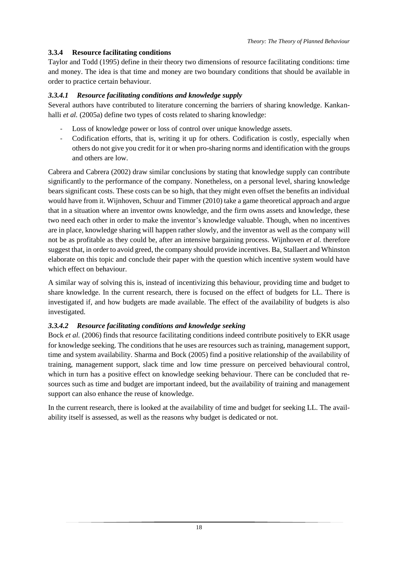#### **3.3.4 Resource facilitating conditions**

Taylor and Todd (1995) define in their theory two dimensions of resource facilitating conditions: time and money. The idea is that time and money are two boundary conditions that should be available in order to practice certain behaviour.

#### *3.3.4.1 Resource facilitating conditions and knowledge supply*

Several authors have contributed to literature concerning the barriers of sharing knowledge. Kankanhalli *et al.* (2005a) define two types of costs related to sharing knowledge:

- Loss of knowledge power or loss of control over unique knowledge assets.
- Codification efforts, that is, writing it up for others. Codification is costly, especially when others do not give you credit for it or when pro-sharing norms and identification with the groups and others are low.

Cabrera and Cabrera (2002) draw similar conclusions by stating that knowledge supply can contribute significantly to the performance of the company. Nonetheless, on a personal level, sharing knowledge bears significant costs. These costs can be so high, that they might even offset the benefits an individual would have from it. Wijnhoven, Schuur and Timmer (2010) take a game theoretical approach and argue that in a situation where an inventor owns knowledge, and the firm owns assets and knowledge, these two need each other in order to make the inventor's knowledge valuable. Though, when no incentives are in place, knowledge sharing will happen rather slowly, and the inventor as well as the company will not be as profitable as they could be, after an intensive bargaining process. Wijnhoven *et al.* therefore suggest that, in order to avoid greed, the company should provide incentives. Ba, Stallaert and Whinston elaborate on this topic and conclude their paper with the question which incentive system would have which effect on behaviour.

A similar way of solving this is, instead of incentivizing this behaviour, providing time and budget to share knowledge. In the current research, there is focused on the effect of budgets for LL. There is investigated if, and how budgets are made available. The effect of the availability of budgets is also investigated.

#### *3.3.4.2 Resource facilitating conditions and knowledge seeking*

Bock *et al.* (2006) finds that resource facilitating conditions indeed contribute positively to EKR usage for knowledge seeking. The conditions that he uses are resources such as training, management support, time and system availability. Sharma and Bock (2005) find a positive relationship of the availability of training, management support, slack time and low time pressure on perceived behavioural control, which in turn has a positive effect on knowledge seeking behaviour. There can be concluded that resources such as time and budget are important indeed, but the availability of training and management support can also enhance the reuse of knowledge.

In the current research, there is looked at the availability of time and budget for seeking LL. The availability itself is assessed, as well as the reasons why budget is dedicated or not.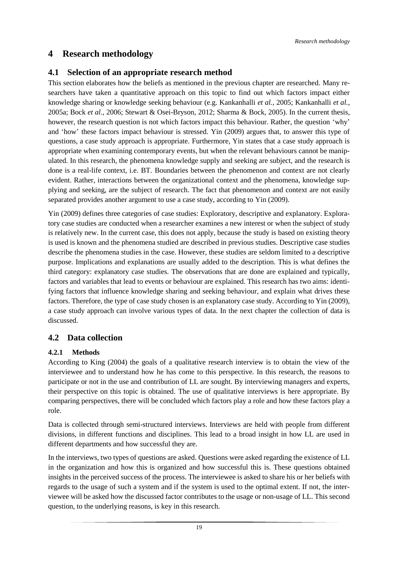## <span id="page-25-0"></span>**4 Research methodology**

#### <span id="page-25-1"></span>**4.1 Selection of an appropriate research method**

This section elaborates how the beliefs as mentioned in the previous chapter are researched. Many researchers have taken a quantitative approach on this topic to find out which factors impact either knowledge sharing or knowledge seeking behaviour (e.g. Kankanhalli *et al.*, 2005; Kankanhalli *et al.,*  2005a; Bock *et al.*, 2006; Stewart & Osei-Bryson, 2012; Sharma & Bock, 2005). In the current thesis, however, the research question is not which factors impact this behaviour. Rather, the question 'why' and 'how' these factors impact behaviour is stressed. Yin (2009) argues that, to answer this type of questions, a case study approach is appropriate. Furthermore, Yin states that a case study approach is appropriate when examining contemporary events, but when the relevant behaviours cannot be manipulated. In this research, the phenomena knowledge supply and seeking are subject, and the research is done is a real-life context, i.e. BT. Boundaries between the phenomenon and context are not clearly evident. Rather, interactions between the organizational context and the phenomena, knowledge supplying and seeking, are the subject of research. The fact that phenomenon and context are not easily separated provides another argument to use a case study, according to Yin (2009).

Yin (2009) defines three categories of case studies: Exploratory, descriptive and explanatory. Exploratory case studies are conducted when a researcher examines a new interest or when the subject of study is relatively new. In the current case, this does not apply, because the study is based on existing theory is used is known and the phenomena studied are described in previous studies. Descriptive case studies describe the phenomena studies in the case. However, these studies are seldom limited to a descriptive purpose. Implications and explanations are usually added to the description. This is what defines the third category: explanatory case studies. The observations that are done are explained and typically, factors and variables that lead to events or behaviour are explained. This research has two aims: identifying factors that influence knowledge sharing and seeking behaviour, and explain what drives these factors. Therefore, the type of case study chosen is an explanatory case study. According to Yin (2009), a case study approach can involve various types of data. In the next chapter the collection of data is discussed.

#### <span id="page-25-2"></span>**4.2 Data collection**

#### **4.2.1 Methods**

According to King (2004) the goals of a qualitative research interview is to obtain the view of the interviewee and to understand how he has come to this perspective. In this research, the reasons to participate or not in the use and contribution of LL are sought. By interviewing managers and experts, their perspective on this topic is obtained. The use of qualitative interviews is here appropriate. By comparing perspectives, there will be concluded which factors play a role and how these factors play a role.

Data is collected through semi-structured interviews. Interviews are held with people from different divisions, in different functions and disciplines. This lead to a broad insight in how LL are used in different departments and how successful they are.

In the interviews, two types of questions are asked. Questions were asked regarding the existence of LL in the organization and how this is organized and how successful this is. These questions obtained insights in the perceived success of the process. The interviewee is asked to share his or her beliefs with regards to the usage of such a system and if the system is used to the optimal extent. If not, the interviewee will be asked how the discussed factor contributes to the usage or non-usage of LL. This second question, to the underlying reasons, is key in this research.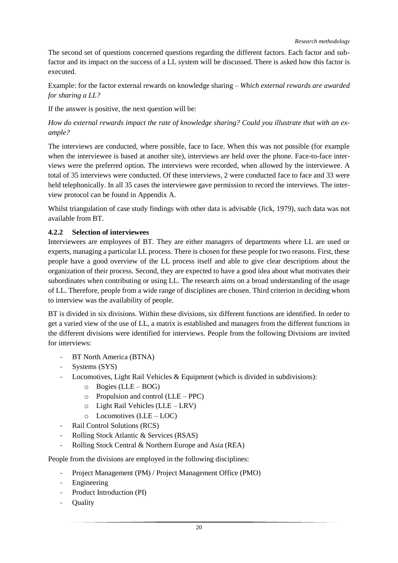The second set of questions concerned questions regarding the different factors. Each factor and subfactor and its impact on the success of a LL system will be discussed. There is asked how this factor is executed.

Example: for the factor external rewards on knowledge sharing – *Which external rewards are awarded for sharing a LL?*

If the answer is positive, the next question will be:

*How do external rewards impact the rate of knowledge sharing? Could you illustrate that with an example?*

The interviews are conducted, where possible, face to face. When this was not possible (for example when the interviewee is based at another site), interviews are held over the phone. Face-to-face interviews were the preferred option. The interviews were recorded, when allowed by the interviewee. A total of 35 interviews were conducted. Of these interviews, 2 were conducted face to face and 33 were held telephonically. In all 35 cases the interviewee gave permission to record the interviews. The interview protocol can be found in Appendix A.

Whilst triangulation of case study findings with other data is advisable (Jick, 1979), such data was not available from BT.

#### **4.2.2 Selection of interviewees**

Interviewees are employees of BT. They are either managers of departments where LL are used or experts, managing a particular LL process. There is chosen for these people for two reasons. First, these people have a good overview of the LL process itself and able to give clear descriptions about the organization of their process. Second, they are expected to have a good idea about what motivates their subordinates when contributing or using LL. The research aims on a broad understanding of the usage of LL. Therefore, people from a wide range of disciplines are chosen. Third criterion in deciding whom to interview was the availability of people.

BT is divided in six divisions. Within these divisions, six different functions are identified. In order to get a varied view of the use of LL, a matrix is established and managers from the different functions in the different divisions were identified for interviews. People from the following Divisions are invited for interviews:

- BT North America (BTNA)
- Systems (SYS)
- Locomotives, Light Rail Vehicles  $\&$  Equipment (which is divided in subdivisions):
	- o Bogies (LLE BOG)
	- o Propulsion and control (LLE PPC)
	- o Light Rail Vehicles (LLE LRV)
	- o Locomotives (LLE LOC)
- Rail Control Solutions (RCS)
- Rolling Stock Atlantic & Services (RSAS)
- Rolling Stock Central & Northern Europe and Asia (REA)

People from the divisions are employed in the following disciplines:

- Project Management (PM) / Project Management Office (PMO)
- **Engineering**
- Product Introduction (PI)
- **Ouality**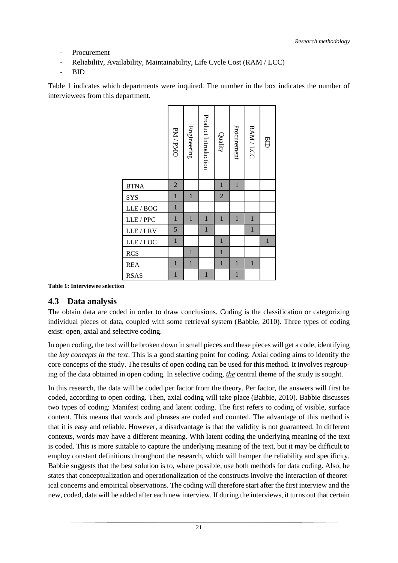- **Procurement**
- Reliability, Availability, Maintainability, Life Cycle Cost (RAM / LCC)
- BID

[Table 1](#page-27-0) indicates which departments were inquired. The number in the box indicates the number of interviewees from this department.

|             | PM / PMO       | Engineering  | Product Introduction | Quality        | Procurement  | RAM/LCC      | <b>BID</b>  |
|-------------|----------------|--------------|----------------------|----------------|--------------|--------------|-------------|
| <b>BTNA</b> | $\overline{2}$ |              |                      | $\mathbf{1}$   | $\mathbf{1}$ |              |             |
| <b>SYS</b>  | $\mathbf{1}$   | $\mathbf{1}$ |                      | $\overline{c}$ |              |              |             |
| LLE / BOG   | $\mathbf{1}$   |              |                      |                |              |              |             |
| LLE / PPC   | $\mathbf{1}$   | $\mathbf{1}$ | $\mathbf{1}$         | $\mathbf{1}$   | $\mathbf{1}$ | $\mathbf{1}$ |             |
| LLE/LRV     | 5              |              | $\mathbf{1}$         |                |              | $\mathbf{1}$ |             |
| LLE/LOC     | $\mathbf{1}$   |              |                      | $\mathbf{1}$   |              |              | $\mathbf 1$ |
| <b>RCS</b>  |                | $\mathbf{1}$ |                      | $\mathbf{1}$   |              |              |             |
| <b>REA</b>  | $\mathbf{1}$   | $\mathbf{1}$ |                      | $\mathbf{1}$   | $\mathbf{1}$ | $\mathbf{1}$ |             |
| <b>RSAS</b> | $\mathbf{1}$   |              | $\mathbf{1}$         |                | $\mathbf{1}$ |              |             |

<span id="page-27-0"></span>**Table 1: Interviewee selection**

#### <span id="page-27-1"></span>**4.3 Data analysis**

The obtain data are coded in order to draw conclusions. Coding is the classification or categorizing individual pieces of data, coupled with some retrieval system (Babbie, 2010). Three types of coding exist: open, axial and selective coding.

In open coding, the text will be broken down in small pieces and these pieces will get a code, identifying the *key concepts in the text*. This is a good starting point for coding. Axial coding aims to identify the core concepts of the study. The results of open coding can be used for this method. It involves regrouping of the data obtained in open coding. In selective coding, *the* central theme of the study is sought.

In this research, the data will be coded per factor from the theory. Per factor, the answers will first be coded, according to open coding. Then, axial coding will take place (Babbie, 2010). Babbie discusses two types of coding: Manifest coding and latent coding. The first refers to coding of visible, surface content. This means that words and phrases are coded and counted. The advantage of this method is that it is easy and reliable. However, a disadvantage is that the validity is not guaranteed. In different contexts, words may have a different meaning. With latent coding the underlying meaning of the text is coded. This is more suitable to capture the underlying meaning of the text, but it may be difficult to employ constant definitions throughout the research, which will hamper the reliability and specificity. Babbie suggests that the best solution is to, where possible, use both methods for data coding. Also, he states that conceptualization and operationalization of the constructs involve the interaction of theoretical concerns and empirical observations. The coding will therefore start after the first interview and the new, coded, data will be added after each new interview. If during the interviews, it turns out that certain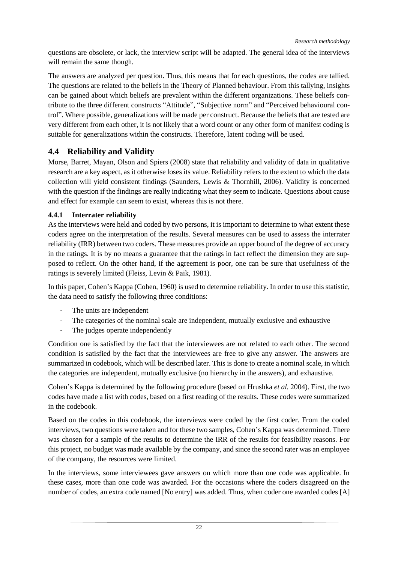questions are obsolete, or lack, the interview script will be adapted. The general idea of the interviews will remain the same though.

The answers are analyzed per question. Thus, this means that for each questions, the codes are tallied. The questions are related to the beliefs in the Theory of Planned behaviour. From this tallying, insights can be gained about which beliefs are prevalent within the different organizations. These beliefs contribute to the three different constructs "Attitude", "Subjective norm" and "Perceived behavioural control". Where possible, generalizations will be made per construct. Because the beliefs that are tested are very different from each other, it is not likely that a word count or any other form of manifest coding is suitable for generalizations within the constructs. Therefore, latent coding will be used.

## <span id="page-28-0"></span>**4.4 Reliability and Validity**

Morse, Barret, Mayan, Olson and Spiers (2008) state that reliability and validity of data in qualitative research are a key aspect, as it otherwise loses its value. Reliability refers to the extent to which the data collection will yield consistent findings (Saunders, Lewis & Thornhill, 2006). Validity is concerned with the question if the findings are really indicating what they seem to indicate. Questions about cause and effect for example can seem to exist, whereas this is not there.

#### <span id="page-28-1"></span>**4.4.1 Interrater reliability**

As the interviews were held and coded by two persons, it is important to determine to what extent these coders agree on the interpretation of the results. Several measures can be used to assess the interrater reliability (IRR) between two coders. These measures provide an upper bound of the degree of accuracy in the ratings. It is by no means a guarantee that the ratings in fact reflect the dimension they are supposed to reflect. On the other hand, if the agreement is poor, one can be sure that usefulness of the ratings is severely limited (Fleiss, Levin & Paik, 1981).

In this paper, Cohen's Kappa (Cohen, 1960) is used to determine reliability. In order to use this statistic, the data need to satisfy the following three conditions:

- The units are independent
- The categories of the nominal scale are independent, mutually exclusive and exhaustive
- The judges operate independently

Condition one is satisfied by the fact that the interviewees are not related to each other. The second condition is satisfied by the fact that the interviewees are free to give any answer. The answers are summarized in codebook, which will be described later. This is done to create a nominal scale, in which the categories are independent, mutually exclusive (no hierarchy in the answers), and exhaustive.

Cohen's Kappa is determined by the following procedure (based on Hrushka *et al.* 2004). First, the two codes have made a list with codes, based on a first reading of the results. These codes were summarized in the codebook.

Based on the codes in this codebook, the interviews were coded by the first coder. From the coded interviews, two questions were taken and for these two samples, Cohen's Kappa was determined. There was chosen for a sample of the results to determine the IRR of the results for feasibility reasons. For this project, no budget was made available by the company, and since the second rater was an employee of the company, the resources were limited.

In the interviews, some interviewees gave answers on which more than one code was applicable. In these cases, more than one code was awarded. For the occasions where the coders disagreed on the number of codes, an extra code named [No entry] was added. Thus, when coder one awarded codes [A]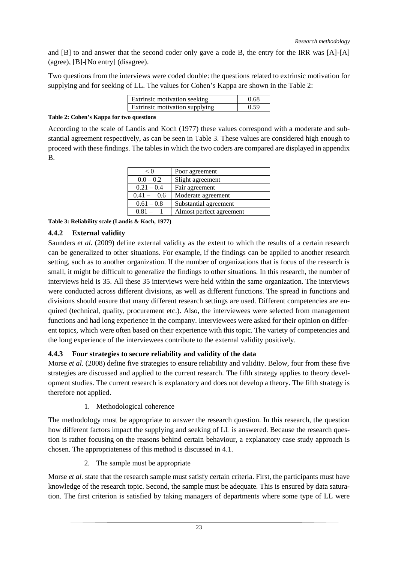and [B] to and answer that the second coder only gave a code B, the entry for the IRR was [A]-[A] (agree), [B]-[No entry] (disagree).

Two questions from the interviews were coded double: the questions related to extrinsic motivation for supplying and for seeking of LL. The values for Cohen's Kappa are shown in the [Table 2:](#page-29-0)

| <b>Extrinsic motivation seeking</b>   | 0 68 |
|---------------------------------------|------|
| <b>Extrinsic motivation supplying</b> | በ 59 |

#### <span id="page-29-0"></span>**Table 2: Cohen's Kappa for two questions**

According to the scale of Landis and Koch (1977) these values correspond with a moderate and substantial agreement respectively, as can be seen in [Table 3.](#page-29-1) These values are considered high enough to proceed with these findings. The tables in which the two coders are compared are displayed in appendix B.

| < 0          | Poor agreement           |
|--------------|--------------------------|
| $0.0 - 0.2$  | Slight agreement         |
| $0.21 - 0.4$ | Fair agreement           |
| $0.41 - 0.6$ | Moderate agreement       |
| $0.61 - 0.8$ | Substantial agreement    |
| $0.81 -$     | Almost perfect agreement |

<span id="page-29-1"></span>**Table 3: Reliability scale (Landis & Koch, 1977)**

#### **4.4.2 External validity**

Saunders *et al.* (2009) define external validity as the extent to which the results of a certain research can be generalized to other situations. For example, if the findings can be applied to another research setting, such as to another organization. If the number of organizations that is focus of the research is small, it might be difficult to generalize the findings to other situations. In this research, the number of interviews held is 35. All these 35 interviews were held within the same organization. The interviews were conducted across different divisions, as well as different functions. The spread in functions and divisions should ensure that many different research settings are used. Different competencies are enquired (technical, quality, procurement etc.). Also, the interviewees were selected from management functions and had long experience in the company. Interviewees were asked for their opinion on different topics, which were often based on their experience with this topic. The variety of competencies and the long experience of the interviewees contribute to the external validity positively.

#### **4.4.3 Four strategies to secure reliability and validity of the data**

Morse *et al.* (2008) define five strategies to ensure reliability and validity. Below, four from these five strategies are discussed and applied to the current research. The fifth strategy applies to theory development studies. The current research is explanatory and does not develop a theory. The fifth strategy is therefore not applied.

1. Methodological coherence

The methodology must be appropriate to answer the research question. In this research, the question how different factors impact the supplying and seeking of LL is answered. Because the research question is rather focusing on the reasons behind certain behaviour, a explanatory case study approach is chosen. The appropriateness of this method is discussed in [4.1.](#page-25-1)

2. The sample must be appropriate

Morse *et al.* state that the research sample must satisfy certain criteria. First, the participants must have knowledge of the research topic. Second, the sample must be adequate. This is ensured by data saturation. The first criterion is satisfied by taking managers of departments where some type of LL were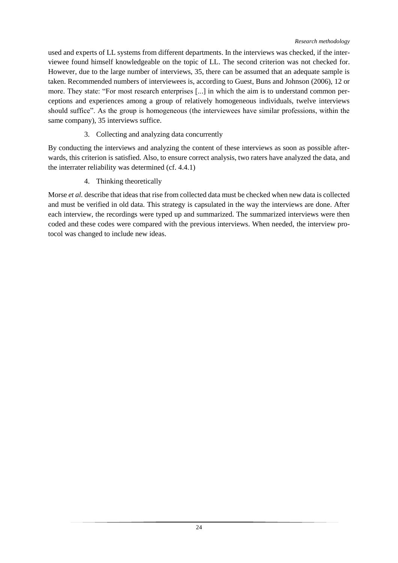used and experts of LL systems from different departments. In the interviews was checked, if the interviewee found himself knowledgeable on the topic of LL. The second criterion was not checked for. However, due to the large number of interviews, 35, there can be assumed that an adequate sample is taken. Recommended numbers of interviewees is, according to Guest, Buns and Johnson (2006), 12 or more. They state: "For most research enterprises [...] in which the aim is to understand common perceptions and experiences among a group of relatively homogeneous individuals, twelve interviews should suffice". As the group is homogeneous (the interviewees have similar professions, within the same company), 35 interviews suffice.

#### 3. Collecting and analyzing data concurrently

By conducting the interviews and analyzing the content of these interviews as soon as possible afterwards, this criterion is satisfied. Also, to ensure correct analysis, two raters have analyzed the data, and the interrater reliability was determined (cf[. 4.4.1\)](#page-28-1)

#### 4. Thinking theoretically

Morse *et al.* describe that ideas that rise from collected data must be checked when new data is collected and must be verified in old data. This strategy is capsulated in the way the interviews are done. After each interview, the recordings were typed up and summarized. The summarized interviews were then coded and these codes were compared with the previous interviews. When needed, the interview protocol was changed to include new ideas.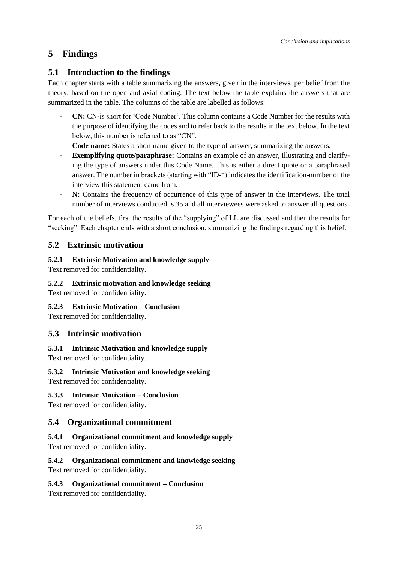# <span id="page-31-0"></span>**5 Findings**

## <span id="page-31-1"></span>**5.1 Introduction to the findings**

Each chapter starts with a table summarizing the answers, given in the interviews, per belief from the theory, based on the open and axial coding. The text below the table explains the answers that are summarized in the table. The columns of the table are labelled as follows:

- **CN:** CN-is short for 'Code Number'. This column contains a Code Number for the results with the purpose of identifying the codes and to refer back to the results in the text below. In the text below, this number is referred to as "CN".
- **Code name:** States a short name given to the type of answer, summarizing the answers.
- **Exemplifying quote/paraphrase:** Contains an example of an answer, illustrating and clarifying the type of answers under this Code Name. This is either a direct quote or a paraphrased answer. The number in brackets (starting with "ID-") indicates the identification-number of the interview this statement came from.
- N: Contains the frequency of occurrence of this type of answer in the interviews. The total number of interviews conducted is 35 and all interviewees were asked to answer all questions.

For each of the beliefs, first the results of the "supplying" of LL are discussed and then the results for "seeking". Each chapter ends with a short conclusion, summarizing the findings regarding this belief.

# <span id="page-31-2"></span>**5.2 Extrinsic motivation**

## **5.2.1 Extrinsic Motivation and knowledge supply**

Text removed for confidentiality.

#### **5.2.2 Extrinsic motivation and knowledge seeking**

Text removed for confidentiality.

#### **5.2.3 Extrinsic Motivation – Conclusion**

Text removed for confidentiality.

## <span id="page-31-3"></span>**5.3 Intrinsic motivation**

# **5.3.1 Intrinsic Motivation and knowledge supply**

Text removed for confidentiality.

# **5.3.2 Intrinsic Motivation and knowledge seeking**

Text removed for confidentiality.

## **5.3.3 Intrinsic Motivation – Conclusion**

Text removed for confidentiality.

## <span id="page-31-4"></span>**5.4 Organizational commitment**

## **5.4.1 Organizational commitment and knowledge supply**

Text removed for confidentiality.

## **5.4.2 Organizational commitment and knowledge seeking**

Text removed for confidentiality.

#### **5.4.3 Organizational commitment – Conclusion**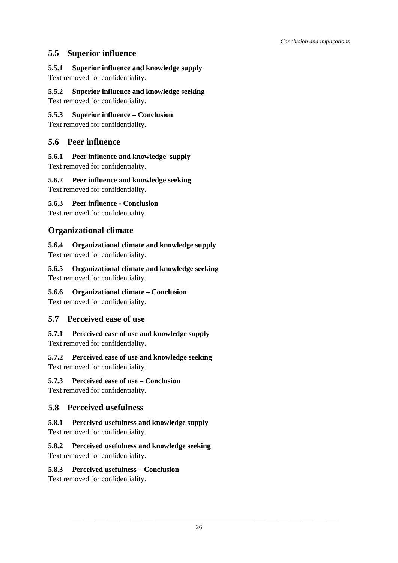## <span id="page-32-0"></span>**5.5 Superior influence**

# **5.5.1 Superior influence and knowledge supply**

Text removed for confidentiality.

#### **5.5.2 Superior influence and knowledge seeking**

Text removed for confidentiality.

#### **5.5.3 Superior influence – Conclusion**

Text removed for confidentiality.

## <span id="page-32-1"></span>**5.6 Peer influence**

## **5.6.1 Peer influence and knowledge supply**

Text removed for confidentiality.

## **5.6.2 Peer influence and knowledge seeking**

Text removed for confidentiality.

## **5.6.3 Peer influence - Conclusion**

Text removed for confidentiality.

# <span id="page-32-2"></span>**Organizational climate**

## **5.6.4 Organizational climate and knowledge supply**

Text removed for confidentiality.

## **5.6.5 Organizational climate and knowledge seeking**

Text removed for confidentiality.

## **5.6.6 Organizational climate – Conclusion**

Text removed for confidentiality.

# <span id="page-32-3"></span>**5.7 Perceived ease of use**

# **5.7.1 Perceived ease of use and knowledge supply**

Text removed for confidentiality.

## **5.7.2 Perceived ease of use and knowledge seeking**

Text removed for confidentiality.

## **5.7.3 Perceived ease of use – Conclusion**

Text removed for confidentiality.

## <span id="page-32-4"></span>**5.8 Perceived usefulness**

## **5.8.1 Perceived usefulness and knowledge supply**

Text removed for confidentiality.

## **5.8.2 Perceived usefulness and knowledge seeking**

Text removed for confidentiality.

## **5.8.3 Perceived usefulness – Conclusion**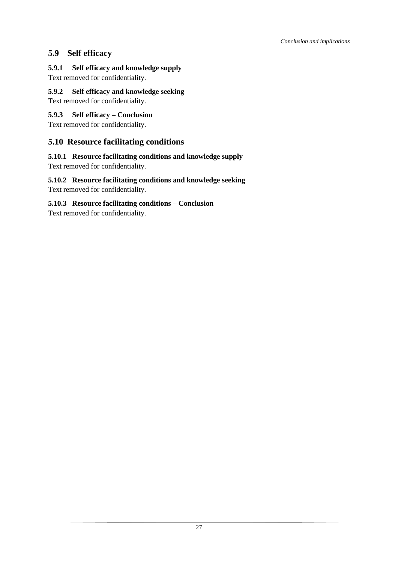## <span id="page-33-0"></span>**5.9 Self efficacy**

**5.9.1 Self efficacy and knowledge supply** Text removed for confidentiality.

**5.9.2 Self efficacy and knowledge seeking**

Text removed for confidentiality.

#### **5.9.3 Self efficacy – Conclusion**

Text removed for confidentiality.

## <span id="page-33-1"></span>**5.10 Resource facilitating conditions**

#### **5.10.1 Resource facilitating conditions and knowledge supply** Text removed for confidentiality.

#### **5.10.2 Resource facilitating conditions and knowledge seeking** Text removed for confidentiality.

#### **5.10.3 Resource facilitating conditions – Conclusion**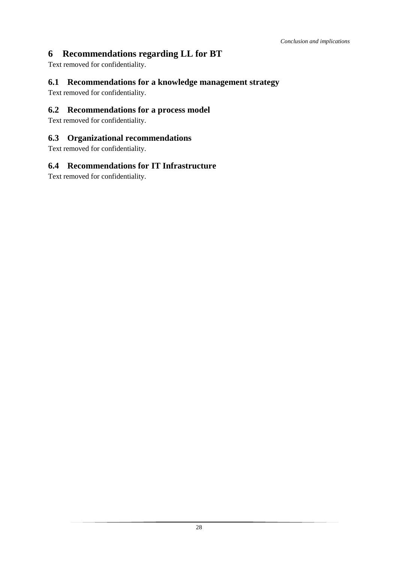# <span id="page-34-0"></span>**6 Recommendations regarding LL for BT**

Text removed for confidentiality.

### <span id="page-34-1"></span>**6.1 Recommendations for a knowledge management strategy**

Text removed for confidentiality.

## <span id="page-34-2"></span>**6.2 Recommendations for a process model**

Text removed for confidentiality.

#### <span id="page-34-3"></span>**6.3 Organizational recommendations**

Text removed for confidentiality.

#### <span id="page-34-4"></span>**6.4 Recommendations for IT Infrastructure**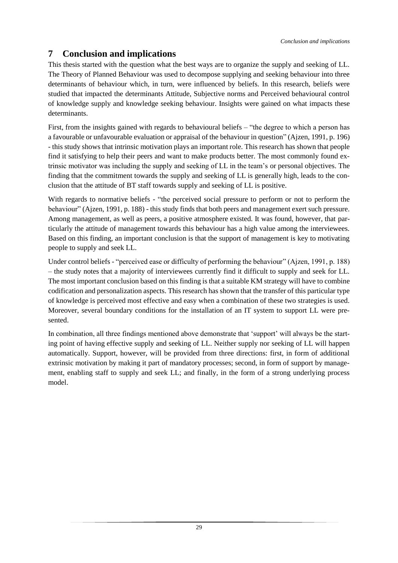# <span id="page-35-0"></span>**7 Conclusion and implications**

This thesis started with the question what the best ways are to organize the supply and seeking of LL. The Theory of Planned Behaviour was used to decompose supplying and seeking behaviour into three determinants of behaviour which, in turn, were influenced by beliefs. In this research, beliefs were studied that impacted the determinants Attitude, Subjective norms and Perceived behavioural control of knowledge supply and knowledge seeking behaviour. Insights were gained on what impacts these determinants.

First, from the insights gained with regards to behavioural beliefs – "the degree to which a person has a favourable or unfavourable evaluation or appraisal of the behaviour in question" (Ajzen, 1991, p. 196) - this study shows that intrinsic motivation plays an important role. This research has shown that people find it satisfying to help their peers and want to make products better. The most commonly found extrinsic motivator was including the supply and seeking of LL in the team's or personal objectives. The finding that the commitment towards the supply and seeking of LL is generally high, leads to the conclusion that the attitude of BT staff towards supply and seeking of LL is positive.

With regards to normative beliefs - "the perceived social pressure to perform or not to perform the behaviour" (Ajzen, 1991, p. 188) - this study finds that both peers and management exert such pressure. Among management, as well as peers, a positive atmosphere existed. It was found, however, that particularly the attitude of management towards this behaviour has a high value among the interviewees. Based on this finding, an important conclusion is that the support of management is key to motivating people to supply and seek LL.

Under control beliefs - "perceived ease or difficulty of performing the behaviour" (Ajzen, 1991, p. 188) – the study notes that a majority of interviewees currently find it difficult to supply and seek for LL. The most important conclusion based on this finding is that a suitable KM strategy will have to combine codification and personalization aspects. This research has shown that the transfer of this particular type of knowledge is perceived most effective and easy when a combination of these two strategies is used. Moreover, several boundary conditions for the installation of an IT system to support LL were presented.

In combination, all three findings mentioned above demonstrate that 'support' will always be the starting point of having effective supply and seeking of LL. Neither supply nor seeking of LL will happen automatically. Support, however, will be provided from three directions: first, in form of additional extrinsic motivation by making it part of mandatory processes; second, in form of support by management, enabling staff to supply and seek LL; and finally, in the form of a strong underlying process model.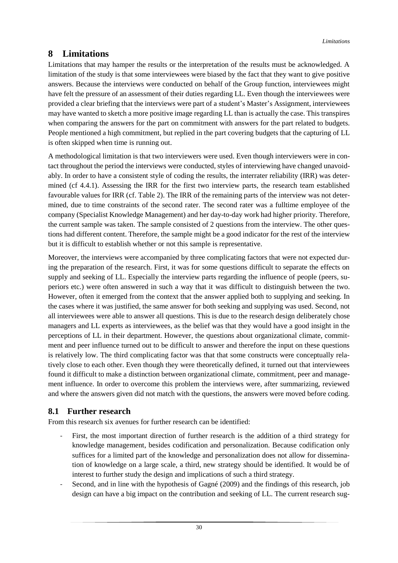# <span id="page-36-0"></span>**8 Limitations**

Limitations that may hamper the results or the interpretation of the results must be acknowledged. A limitation of the study is that some interviewees were biased by the fact that they want to give positive answers. Because the interviews were conducted on behalf of the Group function, interviewees might have felt the pressure of an assessment of their duties regarding LL. Even though the interviewees were provided a clear briefing that the interviews were part of a student's Master's Assignment, interviewees may have wanted to sketch a more positive image regarding LL than is actually the case. This transpires when comparing the answers for the part on commitment with answers for the part related to budgets. People mentioned a high commitment, but replied in the part covering budgets that the capturing of LL is often skipped when time is running out.

A methodological limitation is that two interviewers were used. Even though interviewers were in contact throughout the period the interviews were conducted, styles of interviewing have changed unavoidably. In order to have a consistent style of coding the results, the interrater reliability (IRR) was determined (cf [4.4.1\)](#page-28-1). Assessing the IRR for the first two interview parts, the research team established favourable values for IRR (cf[. Table 2\)](#page-29-0). The IRR of the remaining parts of the interview was not determined, due to time constraints of the second rater. The second rater was a fulltime employee of the company (Specialist Knowledge Management) and her day-to-day work had higher priority. Therefore, the current sample was taken. The sample consisted of 2 questions from the interview. The other questions had different content. Therefore, the sample might be a good indicator for the rest of the interview but it is difficult to establish whether or not this sample is representative.

Moreover, the interviews were accompanied by three complicating factors that were not expected during the preparation of the research. First, it was for some questions difficult to separate the effects on supply and seeking of LL. Especially the interview parts regarding the influence of people (peers, superiors etc.) were often answered in such a way that it was difficult to distinguish between the two. However, often it emerged from the context that the answer applied both to supplying and seeking. In the cases where it was justified, the same answer for both seeking and supplying was used. Second, not all interviewees were able to answer all questions. This is due to the research design deliberately chose managers and LL experts as interviewees, as the belief was that they would have a good insight in the perceptions of LL in their department. However, the questions about organizational climate, commitment and peer influence turned out to be difficult to answer and therefore the input on these questions is relatively low. The third complicating factor was that that some constructs were conceptually relatively close to each other. Even though they were theoretically defined, it turned out that interviewees found it difficult to make a distinction between organizational climate, commitment, peer and management influence. In order to overcome this problem the interviews were, after summarizing, reviewed and where the answers given did not match with the questions, the answers were moved before coding.

## <span id="page-36-1"></span>**8.1 Further research**

From this research six avenues for further research can be identified:

- First, the most important direction of further research is the addition of a third strategy for knowledge management, besides codification and personalization. Because codification only suffices for a limited part of the knowledge and personalization does not allow for dissemination of knowledge on a large scale, a third, new strategy should be identified. It would be of interest to further study the design and implications of such a third strategy.
- Second, and in line with the hypothesis of Gagné (2009) and the findings of this research, job design can have a big impact on the contribution and seeking of LL. The current research sug-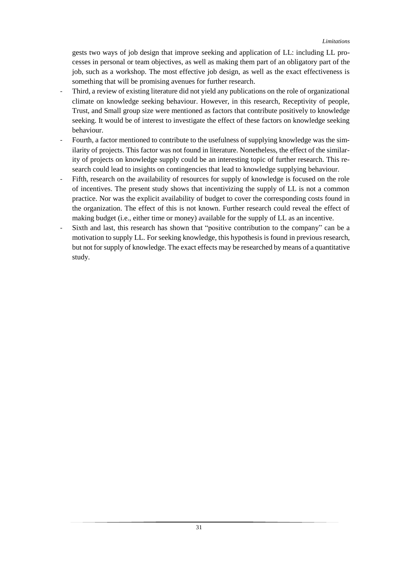gests two ways of job design that improve seeking and application of LL: including LL processes in personal or team objectives, as well as making them part of an obligatory part of the job, such as a workshop. The most effective job design, as well as the exact effectiveness is something that will be promising avenues for further research.

- Third, a review of existing literature did not yield any publications on the role of organizational climate on knowledge seeking behaviour. However, in this research, Receptivity of people, Trust, and Small group size were mentioned as factors that contribute positively to knowledge seeking. It would be of interest to investigate the effect of these factors on knowledge seeking behaviour.
- Fourth, a factor mentioned to contribute to the usefulness of supplying knowledge was the similarity of projects. This factor was not found in literature. Nonetheless, the effect of the similarity of projects on knowledge supply could be an interesting topic of further research. This research could lead to insights on contingencies that lead to knowledge supplying behaviour.
- Fifth, research on the availability of resources for supply of knowledge is focused on the role of incentives. The present study shows that incentivizing the supply of LL is not a common practice. Nor was the explicit availability of budget to cover the corresponding costs found in the organization. The effect of this is not known. Further research could reveal the effect of making budget (i.e., either time or money) available for the supply of LL as an incentive.
- Sixth and last, this research has shown that "positive contribution to the company" can be a motivation to supply LL. For seeking knowledge, this hypothesis is found in previous research, but not for supply of knowledge. The exact effects may be researched by means of a quantitative study.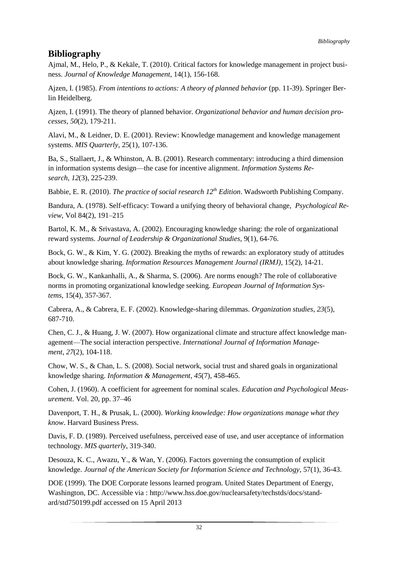# <span id="page-38-0"></span>**Bibliography**

Ajmal, M., Helo, P., & Kekäle, T. (2010). Critical factors for knowledge management in project business*. Journal of Knowledge Management*, 14(1), 156-168.

Ajzen, I. (1985). *From intentions to actions: A theory of planned behavior* (pp. 11-39). Springer Berlin Heidelberg.

Ajzen, I. (1991). The theory of planned behavior. *Organizational behavior and human decision processes*, *50*(2), 179-211.

Alavi, M., & Leidner, D. E. (2001). Review: Knowledge management and knowledge management systems. *MIS Quarterly*, 25(1), 107-136.

Ba, S., Stallaert, J., & Whinston, A. B. (2001). Research commentary: introducing a third dimension in information systems design—the case for incentive alignment. *Information Systems Research*, *12*(3), 225-239.

Babbie, E. R. (2010). *The practice of social research 12th Edition*. Wadsworth Publishing Company.

Bandura, A. (1978). Self-efficacy: Toward a unifying theory of behavioral change, *Psychological Review*, Vol 84(2), 191–215

Bartol, K. M., & Srivastava, A. (2002). Encouraging knowledge sharing: the role of organizational reward systems. *Journal of Leadership & Organizational Studies*, 9(1), 64-76.

Bock, G. W., & Kim, Y. G. (2002). Breaking the myths of rewards: an exploratory study of attitudes about knowledge sharing. *Information Resources Management Journal (IRMJ)*, 15(2), 14-21.

Bock, G. W., Kankanhalli, A., & Sharma, S. (2006). Are norms enough? The role of collaborative norms in promoting organizational knowledge seeking. *European Journal of Information Systems*, 15(4), 357-367.

Cabrera, A., & Cabrera, E. F. (2002). Knowledge-sharing dilemmas. *Organization studies*, *23*(5), 687-710.

Chen, C. J., & Huang, J. W. (2007). How organizational climate and structure affect knowledge management—The social interaction perspective. *International Journal of Information Management*, *27*(2), 104-118.

Chow, W. S., & Chan, L. S. (2008). Social network, social trust and shared goals in organizational knowledge sharing. *Information & Management*, *45*(7), 458-465.

Cohen, J. (1960). A coefficient for agreement for nominal scales. *Education and Psychological Measurement*. Vol. 20, pp. 37–46

Davenport, T. H., & Prusak, L. (2000). *Working knowledge: How organizations manage what they know*. Harvard Business Press.

Davis, F. D. (1989). Perceived usefulness, perceived ease of use, and user acceptance of information technology. *MIS quarterly*, 319-340.

Desouza, K. C., Awazu, Y., & Wan, Y. (2006). Factors governing the consumption of explicit knowledge. *Journal of the American Society for Information Science and Technology*, 57(1), 36-43.

DOE (1999). The DOE Corporate lessons learned program. United States Department of Energy, Washington, DC. Accessible via : http://www.hss.doe.gov/nuclearsafety/techstds/docs/standard/std750199.pdf accessed on 15 April 2013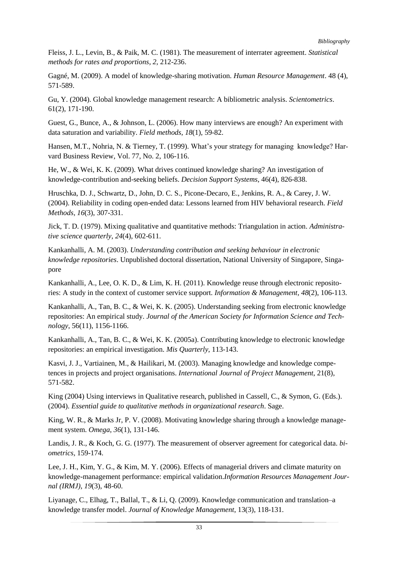Fleiss, J. L., Levin, B., & Paik, M. C. (1981). The measurement of interrater agreement. *Statistical methods for rates and proportions*, *2*, 212-236.

Gagné, M. (2009). A model of knowledge-sharing motivation. *Human Resource Management*. 48 (4), 571-589.

Gu, Y. (2004). Global knowledge management research: A bibliometric analysis. *Scientometrics*. 61(2), 171-190.

Guest, G., Bunce, A., & Johnson, L. (2006). How many interviews are enough? An experiment with data saturation and variability. *Field methods*, *18*(1), 59-82.

Hansen, M.T., Nohria, N. & Tierney, T. (1999). What's your strategy for managing knowledge? Harvard Business Review, Vol. 77, No. 2, 106-116.

He, W., & Wei, K. K. (2009). What drives continued knowledge sharing? An investigation of knowledge-contribution and-seeking beliefs. *Decision Support Systems*, 46(4), 826-838.

Hruschka, D. J., Schwartz, D., John, D. C. S., Picone-Decaro, E., Jenkins, R. A., & Carey, J. W. (2004). Reliability in coding open-ended data: Lessons learned from HIV behavioral research. *Field Methods*, *16*(3), 307-331.

Jick, T. D. (1979). Mixing qualitative and quantitative methods: Triangulation in action. *Administrative science quarterly*, *24*(4), 602-611.

Kankanhalli, A. M. (2003). *Understanding contribution and seeking behaviour in electronic knowledge repositories*. Unpublished doctoral dissertation, National University of Singapore, Singapore

Kankanhalli, A., Lee, O. K. D., & Lim, K. H. (2011). Knowledge reuse through electronic repositories: A study in the context of customer service support. *Information & Management*, *48*(2), 106-113.

Kankanhalli, A., Tan, B. C., & Wei, K. K. (2005). Understanding seeking from electronic knowledge repositories: An empirical study. *Journal of the American Society for Information Science and Technology*, 56(11), 1156-1166.

Kankanhalli, A., Tan, B. C., & Wei, K. K. (2005a). Contributing knowledge to electronic knowledge repositories: an empirical investigation. *Mis Quarterly*, 113-143.

Kasvi, J. J., Vartiainen, M., & Hailikari, M. (2003). Managing knowledge and knowledge competences in projects and project organisations. *International Journal of Project Management*, 21(8), 571-582.

King (2004) Using interviews in Qualitative research, published in Cassell, C., & Symon, G. (Eds.). (2004). *Essential guide to qualitative methods in organizational research*. Sage.

King, W. R., & Marks Jr, P. V. (2008). Motivating knowledge sharing through a knowledge management system. *Omega*, *36*(1), 131-146.

Landis, J. R., & Koch, G. G. (1977). The measurement of observer agreement for categorical data. *biometrics*, 159-174.

Lee, J. H., Kim, Y. G., & Kim, M. Y. (2006). Effects of managerial drivers and climate maturity on knowledge-management performance: empirical validation.*Information Resources Management Journal (IRMJ)*, *19*(3), 48-60.

Liyanage, C., Elhag, T., Ballal, T., & Li, Q. (2009). Knowledge communication and translation–a knowledge transfer model. *Journal of Knowledge Management*, 13(3), 118-131.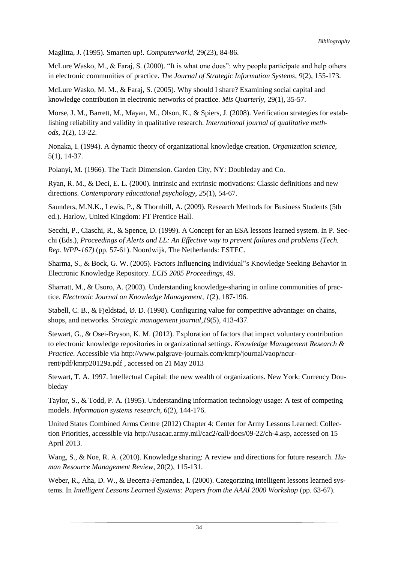Maglitta, J. (1995). Smarten up!. *Computerworld*, 29(23), 84-86.

McLure Wasko, M., & Faraj, S. (2000). "It is what one does": why people participate and help others in electronic communities of practice. *The Journal of Strategic Information Systems*, *9*(2), 155-173.

McLure Wasko, M. M., & Faraj, S. (2005). Why should I share? Examining social capital and knowledge contribution in electronic networks of practice. *Mis Quarterly*, 29(1), 35-57.

Morse, J. M., Barrett, M., Mayan, M., Olson, K., & Spiers, J. (2008). Verification strategies for establishing reliability and validity in qualitative research. *International journal of qualitative methods*, *1*(2), 13-22.

Nonaka, I. (1994). A dynamic theory of organizational knowledge creation. *Organization science*, 5(1), 14-37.

Polanyi, M. (1966). The Tacit Dimension. Garden City, NY: Doubleday and Co.

Ryan, R. M., & Deci, E. L. (2000). Intrinsic and extrinsic motivations: Classic definitions and new directions. *Contemporary educational psychology*, *25*(1), 54-67.

Saunders, M.N.K., Lewis, P., & Thornhill, A. (2009). Research Methods for Business Students (5th ed.). Harlow, United Kingdom: FT Prentice Hall.

Secchi, P., Ciaschi, R., & Spence, D. (1999). A Concept for an ESA lessons learned system. In P. Secchi (Eds.), *Proceedings of Alerts and LL: An Effective way to prevent failures and problems (Tech. Rep. WPP-167)* (pp. 57-61). Noordwijk, The Netherlands: ESTEC.

Sharma, S., & Bock, G. W. (2005). Factors Influencing Individual"s Knowledge Seeking Behavior in Electronic Knowledge Repository. *ECIS 2005 Proceedings*, 49.

Sharratt, M., & Usoro, A. (2003). Understanding knowledge-sharing in online communities of practice. *Electronic Journal on Knowledge Management*, *1*(2), 187-196.

Stabell, C. B., & Fjeldstad, Ø. D. (1998). Configuring value for competitive advantage: on chains, shops, and networks. *Strategic management journal*,*19*(5), 413-437.

Stewart, G., & Osei-Bryson, K. M. (2012). Exploration of factors that impact voluntary contribution to electronic knowledge repositories in organizational settings. *Knowledge Management Research & Practice*. Accessible via http://www.palgrave-journals.com/kmrp/journal/vaop/ncurrent/pdf/kmrp20129a.pdf , accessed on 21 May 2013

Stewart, T. A. 1997. Intellectual Capital: the new wealth of organizations. New York: Currency Doubleday

Taylor, S., & Todd, P. A. (1995). Understanding information technology usage: A test of competing models. *Information systems research*, *6*(2), 144-176.

United States Combined Arms Centre (2012) Chapter 4: Center for Army Lessons Learned: Collection Priorities, accessible via http://usacac.army.mil/cac2/call/docs/09-22/ch-4.asp, accessed on 15 April 2013.

Wang, S., & Noe, R. A. (2010). Knowledge sharing: A review and directions for future research. *Human Resource Management Review*, 20(2), 115-131.

Weber, R., Aha, D. W., & Becerra-Fernandez, I. (2000). Categorizing intelligent lessons learned systems. In *Intelligent Lessons Learned Systems: Papers from the AAAI 2000 Workshop* (pp. 63-67).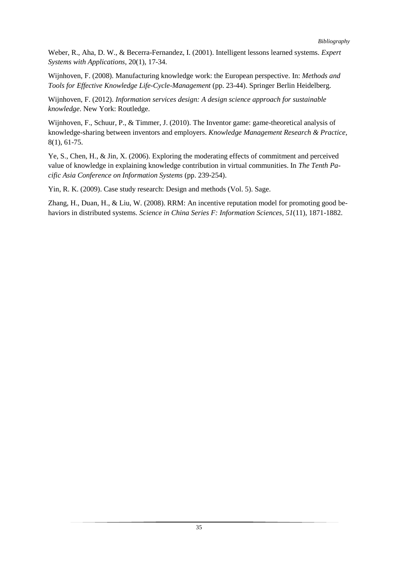Weber, R., Aha, D. W., & Becerra-Fernandez, I. (2001). Intelligent lessons learned systems. *Expert Systems with Applications*, 20(1), 17-34.

Wijnhoven, F. (2008). Manufacturing knowledge work: the European perspective. In: *Methods and Tools for Effective Knowledge Life-Cycle-Management* (pp. 23-44). Springer Berlin Heidelberg.

Wijnhoven, F. (2012). *Information services design: A design science approach for sustainable knowledge*. New York: Routledge.

Wijnhoven, F., Schuur, P., & Timmer, J. (2010). The Inventor game: game-theoretical analysis of knowledge-sharing between inventors and employers. *Knowledge Management Research & Practice*, 8(1), 61-75.

Ye, S., Chen, H., & Jin, X. (2006). Exploring the moderating effects of commitment and perceived value of knowledge in explaining knowledge contribution in virtual communities. In *The Tenth Pacific Asia Conference on Information Systems* (pp. 239-254).

Yin, R. K. (2009). Case study research: Design and methods (Vol. 5). Sage.

Zhang, H., Duan, H., & Liu, W. (2008). RRM: An incentive reputation model for promoting good behaviors in distributed systems. *Science in China Series F: Information Sciences*, *51*(11), 1871-1882.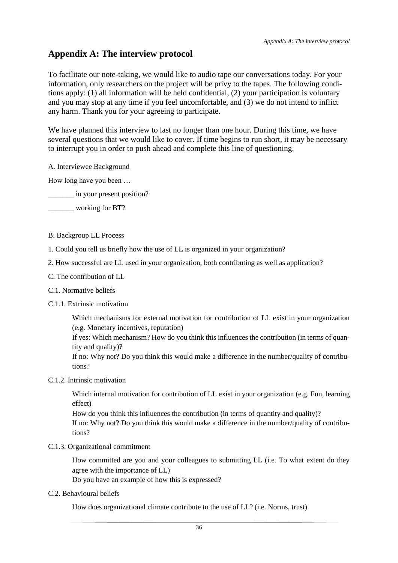## <span id="page-42-0"></span>**Appendix A: The interview protocol**

To facilitate our note-taking, we would like to audio tape our conversations today. For your information, only researchers on the project will be privy to the tapes. The following conditions apply: (1) all information will be held confidential, (2) your participation is voluntary and you may stop at any time if you feel uncomfortable, and (3) we do not intend to inflict any harm. Thank you for your agreeing to participate.

We have planned this interview to last no longer than one hour. During this time, we have several questions that we would like to cover. If time begins to run short, it may be necessary to interrupt you in order to push ahead and complete this line of questioning.

A. Interviewee Background

How long have you been …

in your present position?

\_\_\_\_\_\_\_ working for BT?

- B. Backgroup LL Process
- 1. Could you tell us briefly how the use of LL is organized in your organization?
- 2. How successful are LL used in your organization, both contributing as well as application?
- C. The contribution of LL
- C.1. Normative beliefs
- C.1.1. Extrinsic motivation

Which mechanisms for external motivation for contribution of LL exist in your organization (e.g. Monetary incentives, reputation)

If yes: Which mechanism? How do you think this influences the contribution (in terms of quantity and quality)?

If no: Why not? Do you think this would make a difference in the number/quality of contributions?

C.1.2. Intrinsic motivation

Which internal motivation for contribution of LL exist in your organization (e.g. Fun, learning effect)

How do you think this influences the contribution (in terms of quantity and quality)? If no: Why not? Do you think this would make a difference in the number/quality of contributions?

C.1.3. Organizational commitment

How committed are you and your colleagues to submitting LL (i.e. To what extent do they agree with the importance of LL)

Do you have an example of how this is expressed?

C.2. Behavioural beliefs

How does organizational climate contribute to the use of LL? (i.e. Norms, trust)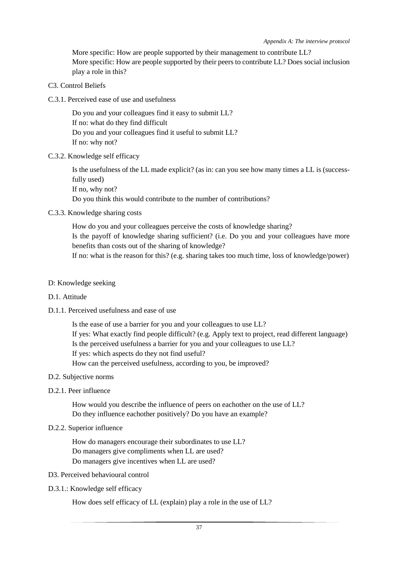More specific: How are people supported by their management to contribute LL? More specific: How are people supported by their peers to contribute LL? Does social inclusion play a role in this?

- C3. Control Beliefs
- C.3.1. Perceived ease of use and usefulness

Do you and your colleagues find it easy to submit LL? If no: what do they find difficult Do you and your colleagues find it useful to submit LL? If no: why not?

#### C.3.2. Knowledge self efficacy

Is the usefulness of the LL made explicit? (as in: can you see how many times a LL is (successfully used) If no, why not? Do you think this would contribute to the number of contributions?

#### C.3.3. Knowledge sharing costs

How do you and your colleagues perceive the costs of knowledge sharing? Is the payoff of knowledge sharing sufficient? (i.e. Do you and your colleagues have more benefits than costs out of the sharing of knowledge?

If no: what is the reason for this? (e.g. sharing takes too much time, loss of knowledge/power)

#### D: Knowledge seeking

#### D.1. Attitude

#### D.1.1. Perceived usefulness and ease of use

Is the ease of use a barrier for you and your colleagues to use LL? If yes: What exactly find people difficult? (e.g. Apply text to project, read different language) Is the perceived usefulness a barrier for you and your colleagues to use LL? If yes: which aspects do they not find useful? How can the perceived usefulness, according to you, be improved?

#### D.2. Subjective norms

#### D.2.1. Peer influence

How would you describe the influence of peers on eachother on the use of LL? Do they influence eachother positively? Do you have an example?

#### D.2.2. Superior influence

How do managers encourage their subordinates to use LL? Do managers give compliments when LL are used? Do managers give incentives when LL are used?

#### D3. Perceived behavioural control

#### D.3.1.: Knowledge self efficacy

How does self efficacy of LL (explain) play a role in the use of LL?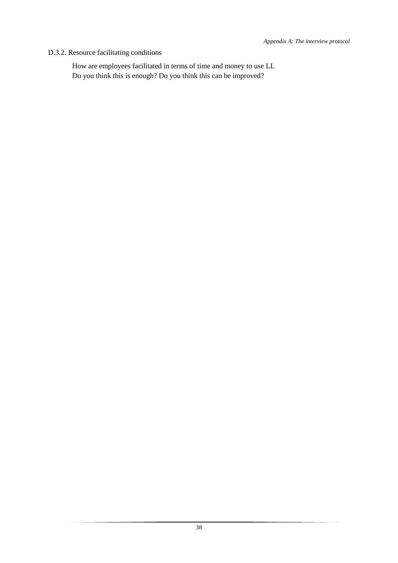#### D.3.2. Resource facilitating conditions

How are employees facilitated in terms of time and money to use LL Do you think this is enough? Do you think this can be improved?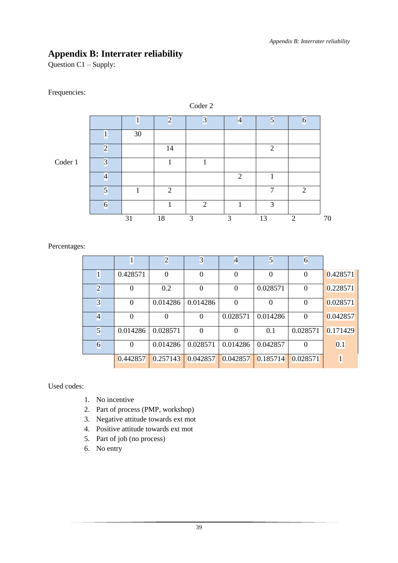# <span id="page-45-0"></span>**Appendix B: Interrater reliability**

Question C1 – Supply:

#### Frequencies:

|         |                         |    |                | Coder 2                 |                |                |                |
|---------|-------------------------|----|----------------|-------------------------|----------------|----------------|----------------|
|         |                         |    | $\overline{2}$ | $\overline{\mathbf{3}}$ | $\overline{4}$ | $\overline{5}$ | 6              |
|         |                         | 30 |                |                         |                |                |                |
|         | $\overline{2}$          |    | 14             |                         |                | 2              |                |
| Coder 1 | $\overline{\mathbf{3}}$ |    |                |                         |                |                |                |
|         | 4                       |    |                |                         | $\overline{2}$ |                |                |
|         | $\overline{5}$          |    | 2              |                         |                | 7              | 2              |
|         | 6                       |    |                | $\overline{2}$          |                | 3              |                |
|         |                         | 31 | 18             | 3                       | 3              | 13             | $\overline{2}$ |

Percentages:

|                         | 1        | $\overline{c}$ | 3                | $\overline{4}$ | 5        | 6        |              |
|-------------------------|----------|----------------|------------------|----------------|----------|----------|--------------|
| $\mathbf{1}$            | 0.428571 | $\theta$       | $\boldsymbol{0}$ | $\Omega$       | $\Omega$ | $\Omega$ | 0.428571     |
| $\overline{c}$          |          | 0.2            | $\theta$         | 0              | 0.028571 | $\Omega$ | 0.228571     |
| $\overline{\mathbf{3}}$ | 0        | 0.014286       | 0.014286         | 0              |          | $\Omega$ | 0.028571     |
| 4                       | $\Omega$ | $\Omega$       | $\theta$         | 0.028571       | 0.014286 | $\Omega$ | 0.042857     |
| 5                       | 0.014286 | 0.028571       | $\boldsymbol{0}$ | 0              | 0.1      | 0.028571 | 0.171429     |
| $\overline{6}$          | $\Omega$ | 0.014286       | 0.028571         | 0.014286       | 0.042857 | $\Omega$ | 0.1          |
|                         | 0.442857 | 0.257143       | 0.042857         | 0.042857       | 0.185714 | 0.028571 | $\mathbf{1}$ |

Used codes:

- 1. No incentive
- 2. Part of process (PMP, workshop)
- 3. Negative attitude towards ext mot
- 4. Positive attitude towards ext mot
- 5. Part of job (no process)
- 6. No entry